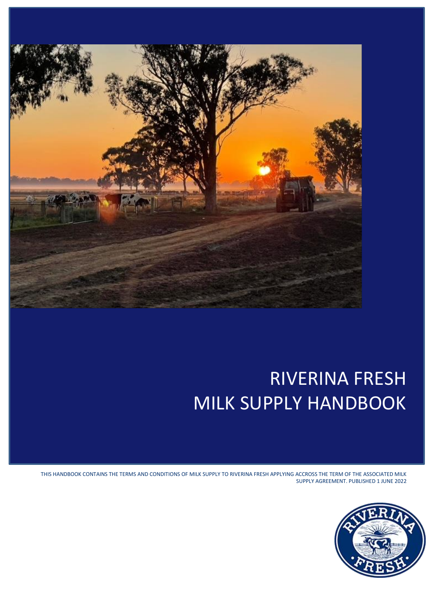

# RIVERINA FRESH MILK SUPPLY HANDBOOK

THIS HANDBOOK CONTAINS THE TERMS AND CONDITIONS OF MILK SUPPLY TO RIVERINA FRESH APPLYING ACCROSS THE TERM OF THE ASSOCIATED MILK SUPPLY AGREEMENT. PUBLISHED 1 JUNE 2022

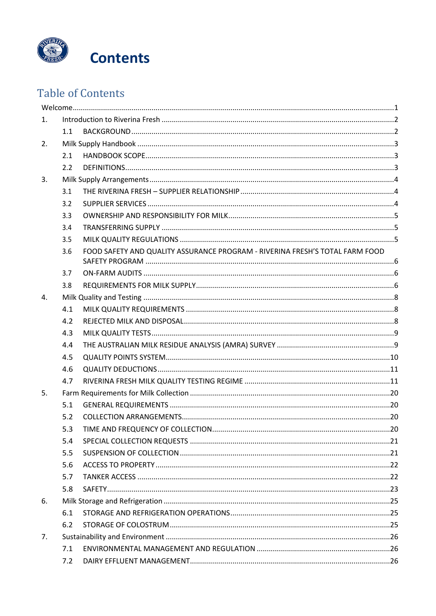

## **Table of Contents**

| 1. |     |                                                                              |  |
|----|-----|------------------------------------------------------------------------------|--|
|    | 1.1 |                                                                              |  |
| 2. |     |                                                                              |  |
|    | 2.1 |                                                                              |  |
|    | 2.2 |                                                                              |  |
| 3. |     |                                                                              |  |
|    | 3.1 |                                                                              |  |
|    | 3.2 |                                                                              |  |
|    | 3.3 |                                                                              |  |
|    | 3.4 |                                                                              |  |
|    | 3.5 |                                                                              |  |
|    | 3.6 | FOOD SAFETY AND QUALITY ASSURANCE PROGRAM - RIVERINA FRESH'S TOTAL FARM FOOD |  |
|    | 3.7 |                                                                              |  |
|    | 3.8 |                                                                              |  |
| 4. |     |                                                                              |  |
|    | 4.1 |                                                                              |  |
|    | 4.2 |                                                                              |  |
|    | 4.3 |                                                                              |  |
|    | 4.4 |                                                                              |  |
|    | 4.5 |                                                                              |  |
|    | 4.6 |                                                                              |  |
|    | 4.7 |                                                                              |  |
| 5. |     |                                                                              |  |
|    | 5.1 |                                                                              |  |
|    | 5.2 |                                                                              |  |
|    | 5.3 |                                                                              |  |
|    | 5.4 |                                                                              |  |
|    | 5.5 |                                                                              |  |
|    | 5.6 |                                                                              |  |
|    | 5.7 |                                                                              |  |
|    | 5.8 |                                                                              |  |
| 6. |     |                                                                              |  |
|    | 6.1 |                                                                              |  |
|    | 6.2 |                                                                              |  |
| 7. |     |                                                                              |  |
|    | 7.1 |                                                                              |  |
|    | 7.2 |                                                                              |  |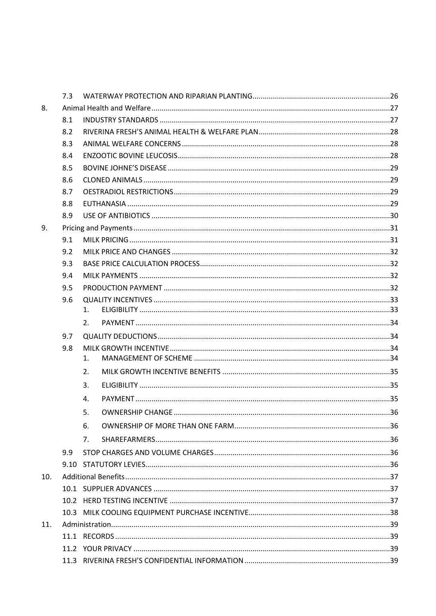|     | 7.3 |    |  |
|-----|-----|----|--|
| 8.  |     |    |  |
|     | 8.1 |    |  |
|     | 8.2 |    |  |
|     | 8.3 |    |  |
|     | 8.4 |    |  |
|     | 8.5 |    |  |
|     | 8.6 |    |  |
|     | 8.7 |    |  |
|     | 8.8 |    |  |
|     | 8.9 |    |  |
| 9.  |     |    |  |
|     | 9.1 |    |  |
|     | 9.2 |    |  |
|     | 9.3 |    |  |
|     | 9.4 |    |  |
|     | 9.5 |    |  |
|     | 9.6 |    |  |
|     |     | 1. |  |
|     |     | 2. |  |
|     | 9.7 |    |  |
|     | 9.8 |    |  |
|     |     | 1. |  |
|     |     | 2. |  |
|     |     | 3. |  |
|     |     | 4. |  |
|     |     | 5. |  |
|     |     | 6. |  |
|     |     | 7. |  |
|     | 9.9 |    |  |
|     |     |    |  |
| 10. |     |    |  |
|     |     |    |  |
|     |     |    |  |
|     |     |    |  |
| 11. |     |    |  |
|     |     |    |  |
|     |     |    |  |
|     |     |    |  |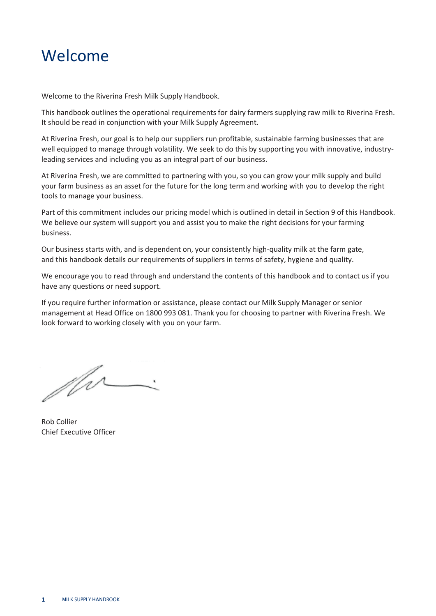## <span id="page-4-0"></span>Welcome

Welcome to the Riverina Fresh Milk Supply Handbook.

This handbook outlines the operational requirements for dairy farmers supplying raw milk to Riverina Fresh. It should be read in conjunction with your Milk Supply Agreement.

At Riverina Fresh, our goal is to help our suppliers run profitable, sustainable farming businesses that are well equipped to manage through volatility. We seek to do this by supporting you with innovative, industryleading services and including you as an integral part of our business.

At Riverina Fresh, we are committed to partnering with you, so you can grow your milk supply and build your farm business as an asset for the future for the long term and working with you to develop the right tools to manage your business.

Part of this commitment includes our pricing model which is outlined in detail in Section 9 of this Handbook. We believe our system will support you and assist you to make the right decisions for your farming business.

Our business starts with, and is dependent on, your consistently high-quality milk at the farm gate, and this handbook details our requirements of suppliers in terms of safety, hygiene and quality.

We encourage you to read through and understand the contents of this handbook and to contact us if you have any questions or need support.

If you require further information or assistance, please contact our Milk Supply Manager or senior management at Head Office on 1800 993 081. Thank you for choosing to partner with Riverina Fresh. We look forward to working closely with you on your farm.

for-

Rob Collier Chief Executive Officer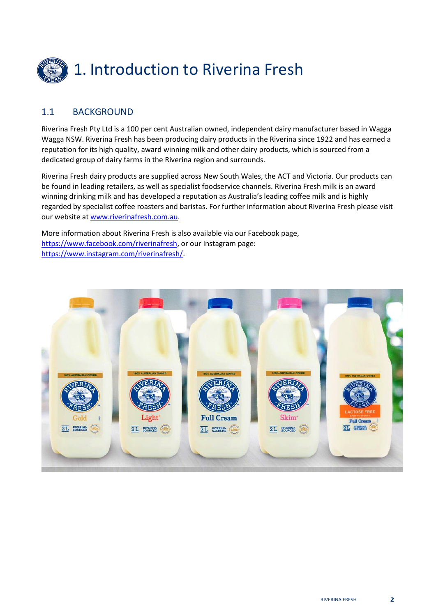<span id="page-5-0"></span>

#### <span id="page-5-1"></span>1.1 BACKGROUND

Riverina Fresh Pty Ltd is a 100 per cent Australian owned, independent dairy manufacturer based in Wagga Wagga NSW. Riverina Fresh has been producing dairy products in the Riverina since 1922 and has earned a reputation for its high quality, award winning milk and other dairy products, which is sourced from a dedicated group of dairy farms in the Riverina region and surrounds.

Riverina Fresh dairy products are supplied across New South Wales, the ACT and Victoria. Our products can be found in leading retailers, as well as specialist foodservice channels. Riverina Fresh milk is an award winning drinking milk and has developed a reputation as Australia's leading coffee milk and is highly regarded by specialist coffee roasters and baristas. For further information about Riverina Fresh please visit our website a[t www.riverinafresh.com.au.](http://www.riverinafresh.com.au/)

More information about Riverina Fresh is also available via our Facebook page, [https://www.facebook.com/riverinafresh,](https://www.facebook.com/riverinafresh) or our Instagram page: [https://www.instagram.com/riverinafresh/.](https://www.instagram.com/riverinafresh/)

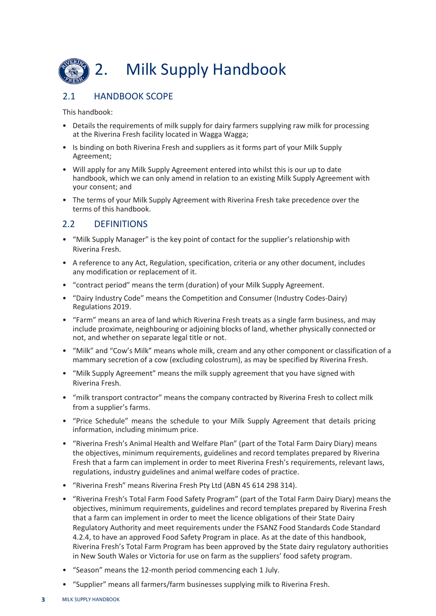<span id="page-6-0"></span>

## <span id="page-6-1"></span>2.1 HANDBOOK SCOPE

This handbook:

- Details the requirements of milk supply for dairy farmers supplying raw milk for processing at the Riverina Fresh facility located in Wagga Wagga;
- Is binding on both Riverina Fresh and suppliers as it forms part of your Milk Supply Agreement;
- Will apply for any Milk Supply Agreement entered into whilst this is our up to date handbook, which we can only amend in relation to an existing Milk Supply Agreement with your consent; and
- The terms of your Milk Supply Agreement with Riverina Fresh take precedence over the terms of this handbook.

#### <span id="page-6-2"></span>2.2 DEFINITIONS

- "Milk Supply Manager" is the key point of contact for the supplier's relationship with Riverina Fresh.
- A reference to any Act, Regulation, specification, criteria or any other document, includes any modification or replacement of it.
- "contract period" means the term (duration) of your Milk Supply Agreement.
- "Dairy Industry Code" means the Competition and Consumer (Industry Codes-Dairy) Regulations 2019.
- "Farm" means an area of land which Riverina Fresh treats as a single farm business, and may include proximate, neighbouring or adjoining blocks of land, whether physically connected or not, and whether on separate legal title or not.
- "Milk" and "Cow's Milk" means whole milk, cream and any other component or classification of a mammary secretion of a cow (excluding colostrum), as may be specified by Riverina Fresh.
- "Milk Supply Agreement" means the milk supply agreement that you have signed with Riverina Fresh.
- "milk transport contractor" means the company contracted by Riverina Fresh to collect milk from a supplier's farms.
- "Price Schedule" means the schedule to your Milk Supply Agreement that details pricing information, including minimum price.
- "Riverina Fresh's Animal Health and Welfare Plan" (part of the Total Farm Dairy Diary) means the objectives, minimum requirements, guidelines and record templates prepared by Riverina Fresh that a farm can implement in order to meet Riverina Fresh's requirements, relevant laws, regulations, industry guidelines and animal welfare codes of practice.
- "Riverina Fresh" means Riverina Fresh Pty Ltd (ABN 45 614 298 314).
- "Riverina Fresh's Total Farm Food Safety Program" (part of the Total Farm Dairy Diary) means the objectives, minimum requirements, guidelines and record templates prepared by Riverina Fresh that a farm can implement in order to meet the licence obligations of their State Dairy Regulatory Authority and meet requirements under the FSANZ Food Standards Code Standard 4.2.4, to have an approved Food Safety Program in place. As at the date of this handbook, Riverina Fresh's Total Farm Program has been approved by the State dairy regulatory authorities in New South Wales or Victoria for use on farm as the suppliers' food safety program.
- "Season" means the 12-month period commencing each 1 July.
- "Supplier" means all farmers/farm businesses supplying milk to Riverina Fresh.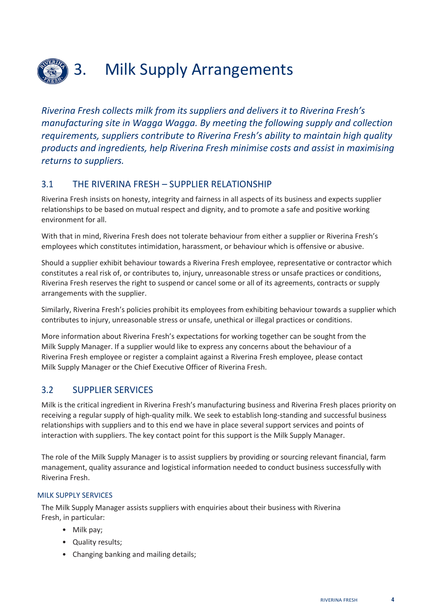

## <span id="page-7-0"></span>3. Milk Supply Arrangements

*Riverina Fresh collects milk from its suppliers and delivers it to Riverina Fresh's manufacturing site in Wagga Wagga. By meeting the following supply and collection requirements, suppliers contribute to Riverina Fresh's ability to maintain high quality products and ingredients, help Riverina Fresh minimise costs and assist in maximising returns to suppliers.*

#### <span id="page-7-1"></span>3.1 THE RIVERINA FRESH – SUPPLIER RELATIONSHIP

Riverina Fresh insists on honesty, integrity and fairness in all aspects of its business and expects supplier relationships to be based on mutual respect and dignity, and to promote a safe and positive working environment for all.

With that in mind, Riverina Fresh does not tolerate behaviour from either a supplier or Riverina Fresh's employees which constitutes intimidation, harassment, or behaviour which is offensive or abusive.

Should a supplier exhibit behaviour towards a Riverina Fresh employee, representative or contractor which constitutes a real risk of, or contributes to, injury, unreasonable stress or unsafe practices or conditions, Riverina Fresh reserves the right to suspend or cancel some or all of its agreements, contracts or supply arrangements with the supplier.

Similarly, Riverina Fresh's policies prohibit its employees from exhibiting behaviour towards a supplier which contributes to injury, unreasonable stress or unsafe, unethical or illegal practices or conditions.

More information about Riverina Fresh's expectations for working together can be sought from the Milk Supply Manager. If a supplier would like to express any concerns about the behaviour of a Riverina Fresh employee or register a complaint against a Riverina Fresh employee, please contact Milk Supply Manager or the Chief Executive Officer of Riverina Fresh.

## <span id="page-7-2"></span>3.2 SUPPLIER SERVICES

Milk is the critical ingredient in Riverina Fresh's manufacturing business and Riverina Fresh places priority on receiving a regular supply of high-quality milk. We seek to establish long-standing and successful business relationships with suppliers and to this end we have in place several support services and points of interaction with suppliers. The key contact point for this support is the Milk Supply Manager.

The role of the Milk Supply Manager is to assist suppliers by providing or sourcing relevant financial, farm management, quality assurance and logistical information needed to conduct business successfully with Riverina Fresh.

#### MILK SUPPLY SERVICES

The Milk Supply Manager assists suppliers with enquiries about their business with Riverina Fresh, in particular:

- Milk pay;
- Quality results;
- Changing banking and mailing details;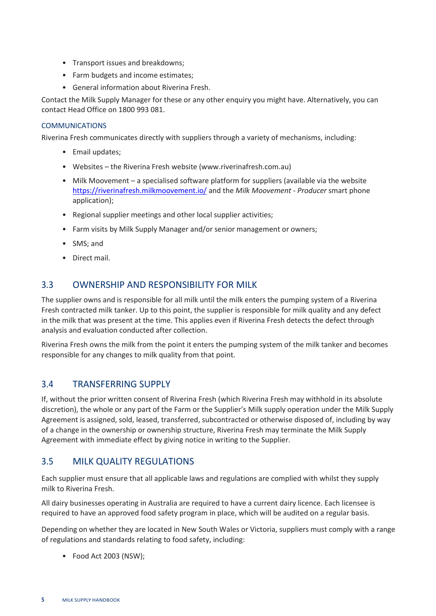- Transport issues and breakdowns;
- Farm budgets and income estimates;
- General information about Riverina Fresh.

Contact the Milk Supply Manager for these or any other enquiry you might have. Alternatively, you can contact Head Office on 1800 993 081.

#### COMMUNICATIONS

Riverina Fresh communicates directly with suppliers through a variety of mechanisms, including:

- Email updates;
- Websites the Riverina Fresh website (www.riverinafresh.com.au)
- Milk Moovement a specialised software platform for suppliers (available via the website <https://riverinafresh.milkmoovement.io/> and the *Milk Moovement - Producer* smart phone application);
- Regional supplier meetings and other local supplier activities;
- Farm visits by Milk Supply Manager and/or senior management or owners;
- SMS; and
- Direct mail.

#### <span id="page-8-0"></span>3.3 OWNERSHIP AND RESPONSIBILITY FOR MILK

The supplier owns and is responsible for all milk until the milk enters the pumping system of a Riverina Fresh contracted milk tanker. Up to this point, the supplier is responsible for milk quality and any defect in the milk that was present at the time. This applies even if Riverina Fresh detects the defect through analysis and evaluation conducted after collection.

Riverina Fresh owns the milk from the point it enters the pumping system of the milk tanker and becomes responsible for any changes to milk quality from that point.

#### <span id="page-8-1"></span>3.4 TRANSFERRING SUPPLY

If, without the prior written consent of Riverina Fresh (which Riverina Fresh may withhold in its absolute discretion), the whole or any part of the Farm or the Supplier's Milk supply operation under the Milk Supply Agreement is assigned, sold, leased, transferred, subcontracted or otherwise disposed of, including by way of a change in the ownership or ownership structure, Riverina Fresh may terminate the Milk Supply Agreement with immediate effect by giving notice in writing to the Supplier.

#### <span id="page-8-2"></span>3.5 MILK QUALITY REGULATIONS

Each supplier must ensure that all applicable laws and regulations are complied with whilst they supply milk to Riverina Fresh.

All dairy businesses operating in Australia are required to have a current dairy licence. Each licensee is required to have an approved food safety program in place, which will be audited on a regular basis.

Depending on whether they are located in New South Wales or Victoria, suppliers must comply with a range of regulations and standards relating to food safety, including:

• Food Act 2003 (NSW);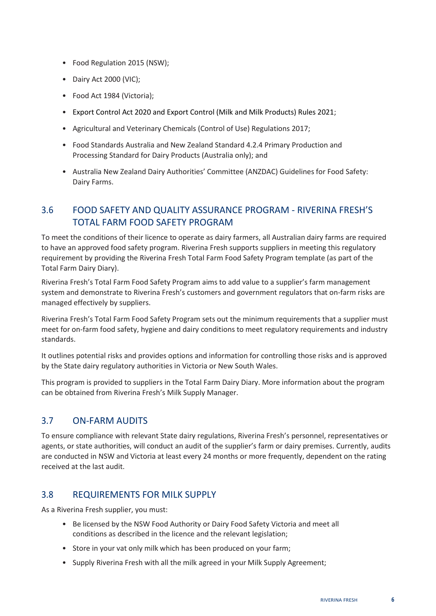- Food Regulation 2015 (NSW);
- Dairy Act 2000 (VIC);
- Food Act 1984 (Victoria);
- Export Control Act 2020 and Export Control (Milk and Milk Products) Rules 2021;
- Agricultural and Veterinary Chemicals (Control of Use) Regulations 2017;
- Food Standards Australia and New Zealand Standard 4.2.4 Primary Production and Processing Standard for Dairy Products (Australia only); and
- Australia New Zealand Dairy Authorities' Committee (ANZDAC) Guidelines for Food Safety: Dairy Farms.

## <span id="page-9-0"></span>3.6 FOOD SAFETY AND QUALITY ASSURANCE PROGRAM - RIVERINA FRESH'S TOTAL FARM FOOD SAFETY PROGRAM

To meet the conditions of their licence to operate as dairy farmers, all Australian dairy farms are required to have an approved food safety program. Riverina Fresh supports suppliers in meeting this regulatory requirement by providing the Riverina Fresh Total Farm Food Safety Program template (as part of the Total Farm Dairy Diary).

Riverina Fresh's Total Farm Food Safety Program aims to add value to a supplier's farm management system and demonstrate to Riverina Fresh's customers and government regulators that on-farm risks are managed effectively by suppliers.

Riverina Fresh's Total Farm Food Safety Program sets out the minimum requirements that a supplier must meet for on-farm food safety, hygiene and dairy conditions to meet regulatory requirements and industry standards.

It outlines potential risks and provides options and information for controlling those risks and is approved by the State dairy regulatory authorities in Victoria or New South Wales.

This program is provided to suppliers in the Total Farm Dairy Diary. More information about the program can be obtained from Riverina Fresh's Milk Supply Manager.

## <span id="page-9-1"></span>3.7 ON-FARM AUDITS

To ensure compliance with relevant State dairy regulations, Riverina Fresh's personnel, representatives or agents, or state authorities, will conduct an audit of the supplier's farm or dairy premises. Currently, audits are conducted in NSW and Victoria at least every 24 months or more frequently, dependent on the rating received at the last audit.

#### <span id="page-9-2"></span>3.8 REQUIREMENTS FOR MILK SUPPLY

As a Riverina Fresh supplier, you must:

- Be licensed by the NSW Food Authority or Dairy Food Safety Victoria and meet all conditions as described in the licence and the relevant legislation;
- Store in your vat only milk which has been produced on your farm;
- Supply Riverina Fresh with all the milk agreed in your Milk Supply Agreement;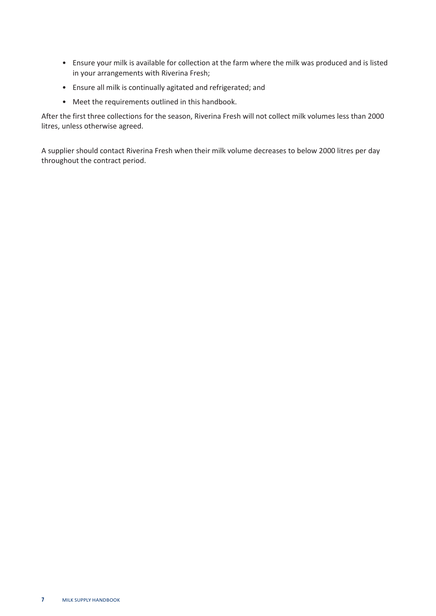- Ensure your milk is available for collection at the farm where the milk was produced and is listed in your arrangements with Riverina Fresh;
- Ensure all milk is continually agitated and refrigerated; and
- Meet the requirements outlined in this handbook.

After the first three collections for the season, Riverina Fresh will not collect milk volumes less than 2000 litres, unless otherwise agreed.

A supplier should contact Riverina Fresh when their milk volume decreases to below 2000 litres per day throughout the contract period.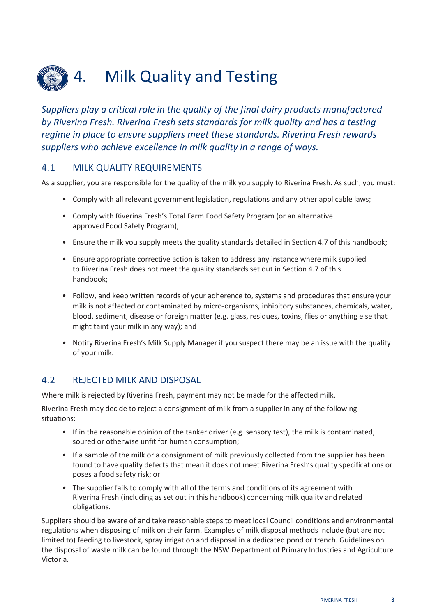<span id="page-11-0"></span>

*Suppliers play a critical role in the quality of the final dairy products manufactured by Riverina Fresh. Riverina Fresh sets standards for milk quality and has a testing regime in place to ensure suppliers meet these standards. Riverina Fresh rewards suppliers who achieve excellence in milk quality in a range of ways.*

#### <span id="page-11-1"></span>4.1 MILK QUALITY REQUIREMENTS

As a supplier, you are responsible for the quality of the milk you supply to Riverina Fresh. As such, you must:

- Comply with all relevant government legislation, regulations and any other applicable laws;
- Comply with Riverina Fresh's Total Farm Food Safety Program (or an alternative approved Food Safety Program);
- Ensure the milk you supply meets the quality standards detailed in Section 4.7 of this handbook;
- Ensure appropriate corrective action is taken to address any instance where milk supplied to Riverina Fresh does not meet the quality standards set out in Section 4.7 of this handbook;
- Follow, and keep written records of your adherence to, systems and procedures that ensure your milk is not affected or contaminated by micro-organisms, inhibitory substances, chemicals, water, blood, sediment, disease or foreign matter (e.g. glass, residues, toxins, flies or anything else that might taint your milk in any way); and
- Notify Riverina Fresh's Milk Supply Manager if you suspect there may be an issue with the quality of your milk.

#### <span id="page-11-2"></span>4.2 REJECTED MILK AND DISPOSAL

Where milk is rejected by Riverina Fresh, payment may not be made for the affected milk.

Riverina Fresh may decide to reject a consignment of milk from a supplier in any of the following situations:

- If in the reasonable opinion of the tanker driver (e.g. sensory test), the milk is contaminated, soured or otherwise unfit for human consumption;
- If a sample of the milk or a consignment of milk previously collected from the supplier has been found to have quality defects that mean it does not meet Riverina Fresh's quality specifications or poses a food safety risk; or
- The supplier fails to comply with all of the terms and conditions of its agreement with Riverina Fresh (including as set out in this handbook) concerning milk quality and related obligations.

Suppliers should be aware of and take reasonable steps to meet local Council conditions and environmental regulations when disposing of milk on their farm. Examples of milk disposal methods include (but are not limited to) feeding to livestock, spray irrigation and disposal in a dedicated pond or trench. Guidelines on the disposal of waste milk can be found through the NSW Department of Primary Industries and Agriculture Victoria.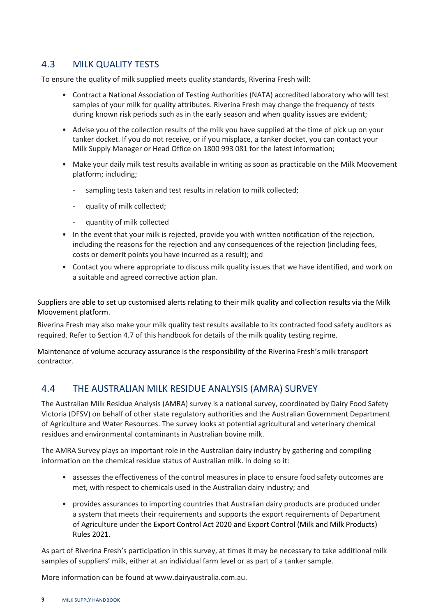#### <span id="page-12-0"></span>4.3 MILK QUALITY TESTS

To ensure the quality of milk supplied meets quality standards, Riverina Fresh will:

- Contract a National Association of Testing Authorities (NATA) accredited laboratory who will test samples of your milk for quality attributes. Riverina Fresh may change the frequency of tests during known risk periods such as in the early season and when quality issues are evident;
- Advise you of the collection results of the milk you have supplied at the time of pick up on your tanker docket. If you do not receive, or if you misplace, a tanker docket, you can contact your Milk Supply Manager or Head Office on 1800 993 081 for the latest information;
- Make your daily milk test results available in writing as soon as practicable on the Milk Moovement platform; including;
	- sampling tests taken and test results in relation to milk collected;
	- quality of milk collected;
	- quantity of milk collected
- In the event that your milk is rejected, provide you with written notification of the rejection, including the reasons for the rejection and any consequences of the rejection (including fees, costs or demerit points you have incurred as a result); and
- Contact you where appropriate to discuss milk quality issues that we have identified, and work on a suitable and agreed corrective action plan.

Suppliers are able to set up customised alerts relating to their milk quality and collection results via the Milk Moovement platform.

Riverina Fresh may also make your milk quality test results available to its contracted food safety auditors as required. Refer to Section 4.7 of this handbook for details of the milk quality testing regime.

Maintenance of volume accuracy assurance is the responsibility of the Riverina Fresh's milk transport contractor.

## <span id="page-12-1"></span>4.4 THE AUSTRALIAN MILK RESIDUE ANALYSIS (AMRA) SURVEY

The Australian Milk Residue Analysis (AMRA) survey is a national survey, coordinated by Dairy Food Safety Victoria (DFSV) on behalf of other state regulatory authorities and the Australian Government Department of Agriculture and Water Resources. The survey looks at potential agricultural and veterinary chemical residues and environmental contaminants in Australian bovine milk.

The AMRA Survey plays an important role in the Australian dairy industry by gathering and compiling information on the chemical residue status of Australian milk. In doing so it:

- assesses the effectiveness of the control measures in place to ensure food safety outcomes are met, with respect to chemicals used in the Australian dairy industry; and
- provides assurances to importing countries that Australian dairy products are produced under a system that meets their requirements and supports the export requirements of Department of Agriculture under the Export Control Act 2020 and Export Control (Milk and Milk Products) Rules 2021.

As part of Riverina Fresh's participation in this survey, at times it may be necessary to take additional milk samples of suppliers' milk, either at an individual farm level or as part of a tanker sample.

More information can be found at [www.dairyaustralia.com.au.](http://www.dairyaustralia.com.au/)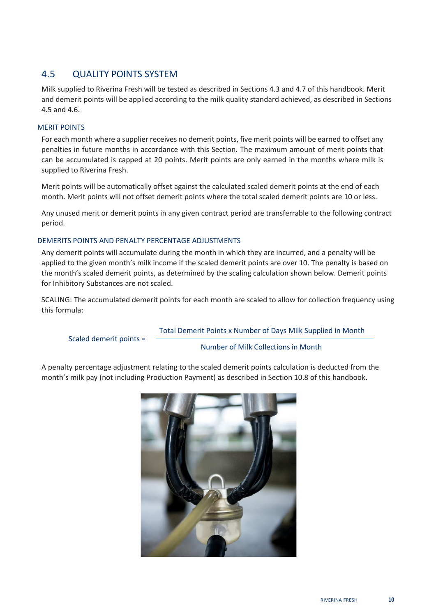## <span id="page-13-0"></span>4.5 QUALITY POINTS SYSTEM

Milk supplied to Riverina Fresh will be tested as described in Sections 4.3 and 4.7 of this handbook. Merit and demerit points will be applied according to the milk quality standard achieved, as described in Sections 4.5 and 4.6.

#### MERIT POINTS

For each month where a supplier receives no demerit points, five merit points will be earned to offset any penalties in future months in accordance with this Section. The maximum amount of merit points that can be accumulated is capped at 20 points. Merit points are only earned in the months where milk is supplied to Riverina Fresh.

Merit points will be automatically offset against the calculated scaled demerit points at the end of each month. Merit points will not offset demerit points where the total scaled demerit points are 10 or less.

Any unused merit or demerit points in any given contract period are transferrable to the following contract period.

#### DEMERITS POINTS AND PENALTY PERCENTAGE ADJUSTMENTS

Any demerit points will accumulate during the month in which they are incurred, and a penalty will be applied to the given month's milk income if the scaled demerit points are over 10. The penalty is based on the month's scaled demerit points, as determined by the scaling calculation shown below. Demerit points for Inhibitory Substances are not scaled.

SCALING: The accumulated demerit points for each month are scaled to allow for collection frequency using this formula:

#### Total Demerit Points x Number of Days Milk Supplied in Month

Scaled demerit points =

Number of Milk Collections in Month

A penalty percentage adjustment relating to the scaled demerit points calculation is deducted from the month's milk pay (not including Production Payment) as described in Section 10.8 of this handbook.

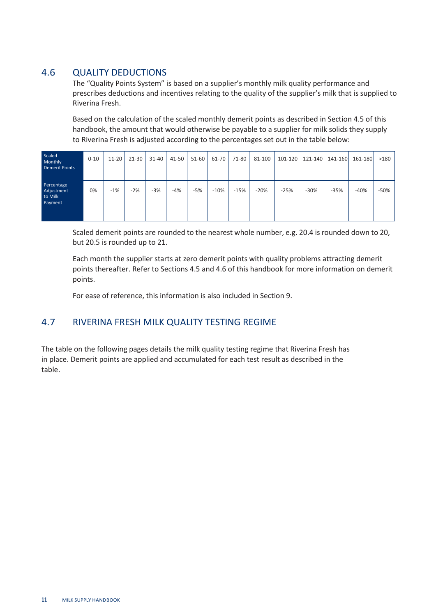## <span id="page-14-0"></span>4.6 QUALITY DEDUCTIONS

The "Quality Points System" is based on a supplier's monthly milk quality performance and prescribes deductions and incentives relating to the quality of the supplier's milk that is supplied to Riverina Fresh.

Based on the calculation of the scaled monthly demerit points as described in Section 4.5 of this handbook, the amount that would otherwise be payable to a supplier for milk solids they supply to Riverina Fresh is adjusted according to the percentages set out in the table below:

| Scaled<br>Monthly<br><b>Demerit Points</b>     | $0 - 10$ | $11-20$ | $21 - 30$ | $31 - 40$ | 41-50 | 51-60 | 61-70  | 71-80  | 81-100 | 101-120 | 121-140 | 141-160 | 161-180 | >180   |
|------------------------------------------------|----------|---------|-----------|-----------|-------|-------|--------|--------|--------|---------|---------|---------|---------|--------|
| Percentage<br>Adjustment<br>to Milk<br>Payment | 0%       | $-1%$   | $-2%$     | $-3%$     | $-4%$ | $-5%$ | $-10%$ | $-15%$ | $-20%$ | $-25%$  | $-30%$  | $-35%$  | $-40%$  | $-50%$ |

Scaled demerit points are rounded to the nearest whole number, e.g. 20.4 is rounded down to 20, but 20.5 is rounded up to 21.

Each month the supplier starts at zero demerit points with quality problems attracting demerit points thereafter. Refer to Sections 4.5 and 4.6 of this handbook for more information on demerit points.

For ease of reference, this information is also included in Section 9.

## <span id="page-14-1"></span>4.7 RIVERINA FRESH MILK QUALITY TESTING REGIME

The table on the following pages details the milk quality testing regime that Riverina Fresh has in place. Demerit points are applied and accumulated for each test result as described in the table.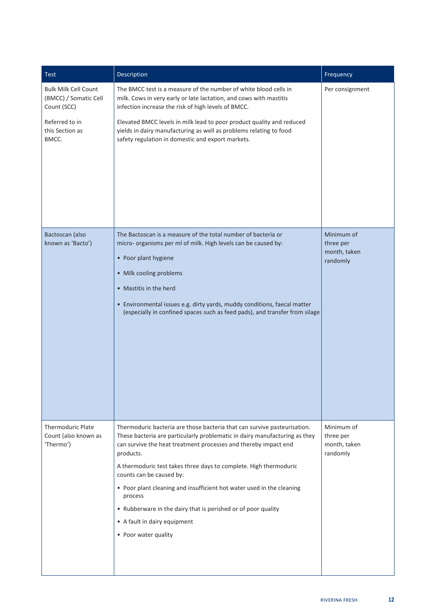| <b>Test</b>                                                                                                       | Description                                                                                                                                                                                                                                                                                                                                                                                                                                                                                                                                          | Frequency                                           |
|-------------------------------------------------------------------------------------------------------------------|------------------------------------------------------------------------------------------------------------------------------------------------------------------------------------------------------------------------------------------------------------------------------------------------------------------------------------------------------------------------------------------------------------------------------------------------------------------------------------------------------------------------------------------------------|-----------------------------------------------------|
| <b>Bulk Milk Cell Count</b><br>(BMCC) / Somatic Cell<br>Count (SCC)<br>Referred to in<br>this Section as<br>BMCC. | The BMCC test is a measure of the number of white blood cells in<br>milk. Cows in very early or late lactation, and cows with mastitis<br>infection increase the risk of high levels of BMCC.<br>Elevated BMCC levels in milk lead to poor product quality and reduced<br>yields in dairy manufacturing as well as problems relating to food<br>safety regulation in domestic and export markets.                                                                                                                                                    | Per consignment                                     |
| Bactoscan (also<br>known as 'Bacto')                                                                              | The Bactoscan is a measure of the total number of bacteria or<br>micro- organisms per ml of milk. High levels can be caused by:<br>• Poor plant hygiene<br>• Milk cooling problems<br>• Mastitis in the herd<br>• Environmental issues e.g. dirty yards, muddy conditions, faecal matter<br>(especially in confined spaces such as feed pads), and transfer from silage                                                                                                                                                                              | Minimum of<br>three per<br>month, taken<br>randomly |
| <b>Thermoduric Plate</b><br>Count (also known as<br>'Thermo')                                                     | Thermoduric bacteria are those bacteria that can survive pasteurisation.<br>These bacteria are particularly problematic in dairy manufacturing as they<br>can survive the heat treatment processes and thereby impact end<br>products.<br>A thermoduric test takes three days to complete. High thermoduric<br>counts can be caused by:<br>• Poor plant cleaning and insufficient hot water used in the cleaning<br>process<br>• Rubberware in the dairy that is perished or of poor quality<br>• A fault in dairy equipment<br>• Poor water quality | Minimum of<br>three per<br>month, taken<br>randomly |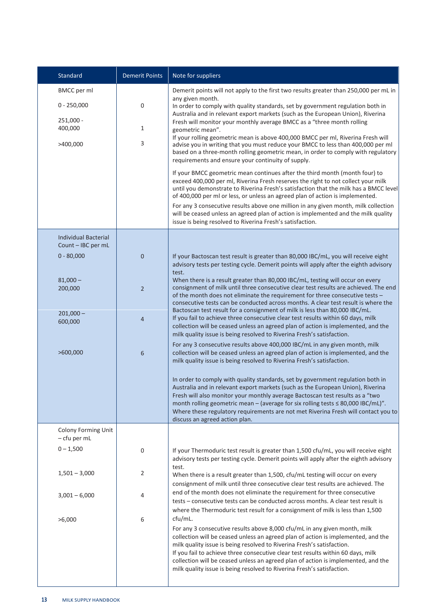| Standard                                                                  | <b>Demerit Points</b>  | Note for suppliers                                                                                                                                                                                                                                                                                                                                                                                                                                                                                                                                                                                                                                                                                                                                                                                                                                                                                                                                                                                                                                                                                                                                                                                                                                                                       |
|---------------------------------------------------------------------------|------------------------|------------------------------------------------------------------------------------------------------------------------------------------------------------------------------------------------------------------------------------------------------------------------------------------------------------------------------------------------------------------------------------------------------------------------------------------------------------------------------------------------------------------------------------------------------------------------------------------------------------------------------------------------------------------------------------------------------------------------------------------------------------------------------------------------------------------------------------------------------------------------------------------------------------------------------------------------------------------------------------------------------------------------------------------------------------------------------------------------------------------------------------------------------------------------------------------------------------------------------------------------------------------------------------------|
| <b>BMCC</b> per ml<br>$0 - 250,000$<br>$251,000 -$<br>400,000<br>>400,000 | 0<br>$\mathbf{1}$<br>3 | Demerit points will not apply to the first two results greater than 250,000 per mL in<br>any given month.<br>In order to comply with quality standards, set by government regulation both in<br>Australia and in relevant export markets (such as the European Union), Riverina<br>Fresh will monitor your monthly average BMCC as a "three month rolling<br>geometric mean".<br>If your rolling geometric mean is above 400,000 BMCC per ml, Riverina Fresh will<br>advise you in writing that you must reduce your BMCC to less than 400,000 per ml<br>based on a three-month rolling geometric mean, in order to comply with regulatory<br>requirements and ensure your continuity of supply.<br>If your BMCC geometric mean continues after the third month (month four) to<br>exceed 400,000 per ml, Riverina Fresh reserves the right to not collect your milk<br>until you demonstrate to Riverina Fresh's satisfaction that the milk has a BMCC level<br>of 400,000 per ml or less, or unless an agreed plan of action is implemented.<br>For any 3 consecutive results above one million in any given month, milk collection<br>will be ceased unless an agreed plan of action is implemented and the milk quality<br>issue is being resolved to Riverina Fresh's satisfaction. |
| <b>Individual Bacterial</b><br>Count - IBC per mL                         |                        |                                                                                                                                                                                                                                                                                                                                                                                                                                                                                                                                                                                                                                                                                                                                                                                                                                                                                                                                                                                                                                                                                                                                                                                                                                                                                          |
| $0 - 80,000$                                                              | $\mathbf 0$            | If your Bactoscan test result is greater than 80,000 IBC/mL, you will receive eight<br>advisory tests per testing cycle. Demerit points will apply after the eighth advisory<br>test.                                                                                                                                                                                                                                                                                                                                                                                                                                                                                                                                                                                                                                                                                                                                                                                                                                                                                                                                                                                                                                                                                                    |
| $81,000 -$<br>200,000<br>$201,000 -$                                      | $\overline{2}$         | When there is a result greater than 80,000 IBC/mL, testing will occur on every<br>consignment of milk until three consecutive clear test results are achieved. The end<br>of the month does not eliminate the requirement for three consecutive tests -<br>consecutive tests can be conducted across months. A clear test result is where the<br>Bactoscan test result for a consignment of milk is less than 80,000 IBC/mL.                                                                                                                                                                                                                                                                                                                                                                                                                                                                                                                                                                                                                                                                                                                                                                                                                                                             |
| 600,000                                                                   | 4                      | If you fail to achieve three consecutive clear test results within 60 days, milk<br>collection will be ceased unless an agreed plan of action is implemented, and the<br>milk quality issue is being resolved to Riverina Fresh's satisfaction.                                                                                                                                                                                                                                                                                                                                                                                                                                                                                                                                                                                                                                                                                                                                                                                                                                                                                                                                                                                                                                          |
| >600,000                                                                  | 6                      | For any 3 consecutive results above 400,000 IBC/mL in any given month, milk<br>collection will be ceased unless an agreed plan of action is implemented, and the<br>milk quality issue is being resolved to Riverina Fresh's satisfaction.                                                                                                                                                                                                                                                                                                                                                                                                                                                                                                                                                                                                                                                                                                                                                                                                                                                                                                                                                                                                                                               |
|                                                                           |                        | In order to comply with quality standards, set by government regulation both in<br>Australia and in relevant export markets (such as the European Union), Riverina<br>Fresh will also monitor your monthly average Bactoscan test results as a "two<br>month rolling geometric mean - (average for six rolling tests $\leq 80,000$ IBC/mL)".<br>Where these regulatory requirements are not met Riverina Fresh will contact you to<br>discuss an agreed action plan.                                                                                                                                                                                                                                                                                                                                                                                                                                                                                                                                                                                                                                                                                                                                                                                                                     |
| Colony Forming Unit<br>- cfu per mL                                       |                        |                                                                                                                                                                                                                                                                                                                                                                                                                                                                                                                                                                                                                                                                                                                                                                                                                                                                                                                                                                                                                                                                                                                                                                                                                                                                                          |
| $0 - 1,500$                                                               | 0                      | If your Thermoduric test result is greater than 1,500 cfu/mL, you will receive eight<br>advisory tests per testing cycle. Demerit points will apply after the eighth advisory<br>test.                                                                                                                                                                                                                                                                                                                                                                                                                                                                                                                                                                                                                                                                                                                                                                                                                                                                                                                                                                                                                                                                                                   |
| $1,501 - 3,000$                                                           | 2                      | When there is a result greater than 1,500, cfu/mL testing will occur on every<br>consignment of milk until three consecutive clear test results are achieved. The                                                                                                                                                                                                                                                                                                                                                                                                                                                                                                                                                                                                                                                                                                                                                                                                                                                                                                                                                                                                                                                                                                                        |
| $3,001 - 6,000$                                                           | 4                      | end of the month does not eliminate the requirement for three consecutive<br>tests - consecutive tests can be conducted across months. A clear test result is<br>where the Thermoduric test result for a consignment of milk is less than 1,500                                                                                                                                                                                                                                                                                                                                                                                                                                                                                                                                                                                                                                                                                                                                                                                                                                                                                                                                                                                                                                          |
| >6,000                                                                    | 6                      | cfu/mL.<br>For any 3 consecutive results above 8,000 cfu/mL in any given month, milk<br>collection will be ceased unless an agreed plan of action is implemented, and the<br>milk quality issue is being resolved to Riverina Fresh's satisfaction.<br>If you fail to achieve three consecutive clear test results within 60 days, milk<br>collection will be ceased unless an agreed plan of action is implemented, and the<br>milk quality issue is being resolved to Riverina Fresh's satisfaction.                                                                                                                                                                                                                                                                                                                                                                                                                                                                                                                                                                                                                                                                                                                                                                                   |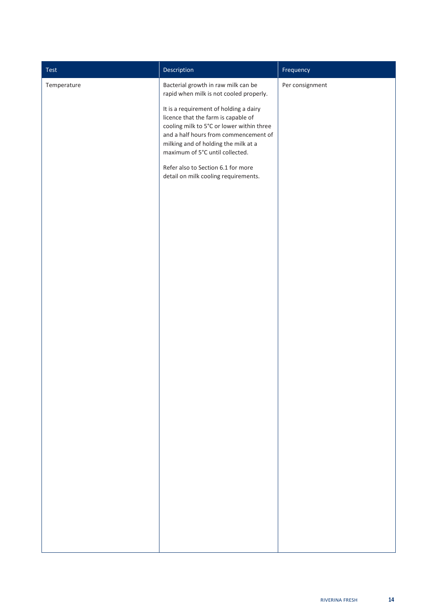| Test        | Description                                                                                                                                                                                                                                    | Frequency       |
|-------------|------------------------------------------------------------------------------------------------------------------------------------------------------------------------------------------------------------------------------------------------|-----------------|
| Temperature | Bacterial growth in raw milk can be<br>rapid when milk is not cooled properly.                                                                                                                                                                 | Per consignment |
|             | It is a requirement of holding a dairy<br>licence that the farm is capable of<br>cooling milk to 5°C or lower within three<br>and a half hours from commencement of<br>milking and of holding the milk at a<br>maximum of 5°C until collected. |                 |
|             | Refer also to Section 6.1 for more<br>detail on milk cooling requirements.                                                                                                                                                                     |                 |
|             |                                                                                                                                                                                                                                                |                 |
|             |                                                                                                                                                                                                                                                |                 |
|             |                                                                                                                                                                                                                                                |                 |
|             |                                                                                                                                                                                                                                                |                 |
|             |                                                                                                                                                                                                                                                |                 |
|             |                                                                                                                                                                                                                                                |                 |
|             |                                                                                                                                                                                                                                                |                 |
|             |                                                                                                                                                                                                                                                |                 |
|             |                                                                                                                                                                                                                                                |                 |
|             |                                                                                                                                                                                                                                                |                 |
|             |                                                                                                                                                                                                                                                |                 |
|             |                                                                                                                                                                                                                                                |                 |
|             |                                                                                                                                                                                                                                                |                 |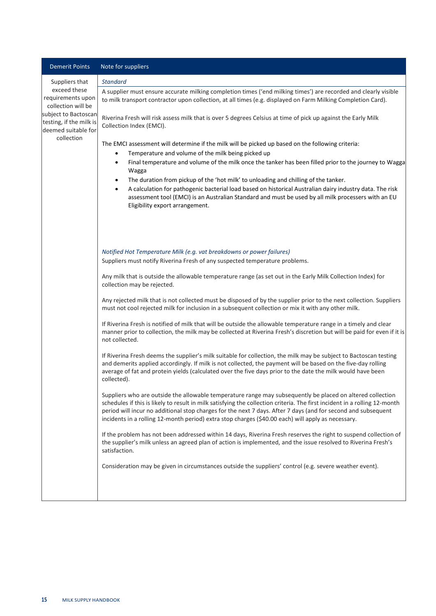| <b>Demerit Points</b>                                                                                                                                             | Note for suppliers                                                                                                                                                                                                                                                                                                                                                                                                                                                                                                                                                                                                                                                                                                                                                                                                                                                                                                                                                                                                                                                                                                                                                                                                                                                                                                                                                                                                                                                                                                                                                                                                                                                                                                                                                                                                                                                                                                                                                                                          |
|-------------------------------------------------------------------------------------------------------------------------------------------------------------------|-------------------------------------------------------------------------------------------------------------------------------------------------------------------------------------------------------------------------------------------------------------------------------------------------------------------------------------------------------------------------------------------------------------------------------------------------------------------------------------------------------------------------------------------------------------------------------------------------------------------------------------------------------------------------------------------------------------------------------------------------------------------------------------------------------------------------------------------------------------------------------------------------------------------------------------------------------------------------------------------------------------------------------------------------------------------------------------------------------------------------------------------------------------------------------------------------------------------------------------------------------------------------------------------------------------------------------------------------------------------------------------------------------------------------------------------------------------------------------------------------------------------------------------------------------------------------------------------------------------------------------------------------------------------------------------------------------------------------------------------------------------------------------------------------------------------------------------------------------------------------------------------------------------------------------------------------------------------------------------------------------------|
| Suppliers that<br>exceed these<br>requirements upon<br>collection will be<br>subject to Bactoscan<br>testing, if the milk is<br>deemed suitable for<br>collection | <b>Standard</b><br>A supplier must ensure accurate milking completion times ('end milking times') are recorded and clearly visible<br>to milk transport contractor upon collection, at all times (e.g. displayed on Farm Milking Completion Card).<br>Riverina Fresh will risk assess milk that is over 5 degrees Celsius at time of pick up against the Early Milk<br>Collection Index (EMCI).<br>The EMCI assessment will determine if the milk will be picked up based on the following criteria:<br>Temperature and volume of the milk being picked up<br>$\bullet$<br>Final temperature and volume of the milk once the tanker has been filled prior to the journey to Wagga<br>$\bullet$<br>Wagga<br>The duration from pickup of the 'hot milk' to unloading and chilling of the tanker.<br>$\bullet$<br>A calculation for pathogenic bacterial load based on historical Australian dairy industry data. The risk<br>$\bullet$<br>assessment tool (EMCI) is an Australian Standard and must be used by all milk processers with an EU<br>Eligibility export arrangement.                                                                                                                                                                                                                                                                                                                                                                                                                                                                                                                                                                                                                                                                                                                                                                                                                                                                                                                              |
|                                                                                                                                                                   | Notified Hot Temperature Milk (e.g. vat breakdowns or power failures)<br>Suppliers must notify Riverina Fresh of any suspected temperature problems.<br>Any milk that is outside the allowable temperature range (as set out in the Early Milk Collection Index) for<br>collection may be rejected.<br>Any rejected milk that is not collected must be disposed of by the supplier prior to the next collection. Suppliers<br>must not cool rejected milk for inclusion in a subsequent collection or mix it with any other milk.<br>If Riverina Fresh is notified of milk that will be outside the allowable temperature range in a timely and clear<br>manner prior to collection, the milk may be collected at Riverina Fresh's discretion but will be paid for even if it is<br>not collected.<br>If Riverina Fresh deems the supplier's milk suitable for collection, the milk may be subject to Bactoscan testing<br>and demerits applied accordingly. If milk is not collected, the payment will be based on the five-day rolling<br>average of fat and protein yields (calculated over the five days prior to the date the milk would have been<br>collected).<br>Suppliers who are outside the allowable temperature range may subsequently be placed on altered collection<br>schedules if this is likely to result in milk satisfying the collection criteria. The first incident in a rolling 12-month<br>period will incur no additional stop charges for the next 7 days. After 7 days (and for second and subsequent<br>incidents in a rolling 12-month period) extra stop charges (\$40.00 each) will apply as necessary.<br>If the problem has not been addressed within 14 days, Riverina Fresh reserves the right to suspend collection of<br>the supplier's milk unless an agreed plan of action is implemented, and the issue resolved to Riverina Fresh's<br>satisfaction.<br>Consideration may be given in circumstances outside the suppliers' control (e.g. severe weather event). |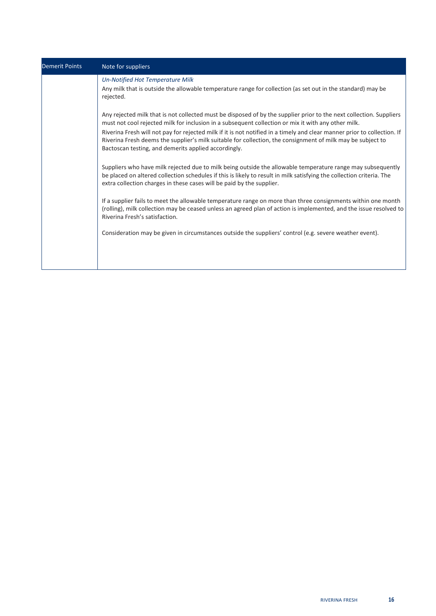| <b>Demerit Points</b> | Note for suppliers                                                                                                                                                                                                                                                                                                                                                                                                                                                                                                            |
|-----------------------|-------------------------------------------------------------------------------------------------------------------------------------------------------------------------------------------------------------------------------------------------------------------------------------------------------------------------------------------------------------------------------------------------------------------------------------------------------------------------------------------------------------------------------|
|                       | <b>Un-Notified Hot Temperature Milk</b><br>Any milk that is outside the allowable temperature range for collection (as set out in the standard) may be<br>rejected.                                                                                                                                                                                                                                                                                                                                                           |
|                       | Any rejected milk that is not collected must be disposed of by the supplier prior to the next collection. Suppliers<br>must not cool rejected milk for inclusion in a subsequent collection or mix it with any other milk.<br>Riverina Fresh will not pay for rejected milk if it is not notified in a timely and clear manner prior to collection. If<br>Riverina Fresh deems the supplier's milk suitable for collection, the consignment of milk may be subject to<br>Bactoscan testing, and demerits applied accordingly. |
|                       | Suppliers who have milk rejected due to milk being outside the allowable temperature range may subsequently<br>be placed on altered collection schedules if this is likely to result in milk satisfying the collection criteria. The<br>extra collection charges in these cases will be paid by the supplier.                                                                                                                                                                                                                 |
|                       | If a supplier fails to meet the allowable temperature range on more than three consignments within one month<br>(rolling), milk collection may be ceased unless an agreed plan of action is implemented, and the issue resolved to<br>Riverina Fresh's satisfaction.                                                                                                                                                                                                                                                          |
|                       | Consideration may be given in circumstances outside the suppliers' control (e.g. severe weather event).                                                                                                                                                                                                                                                                                                                                                                                                                       |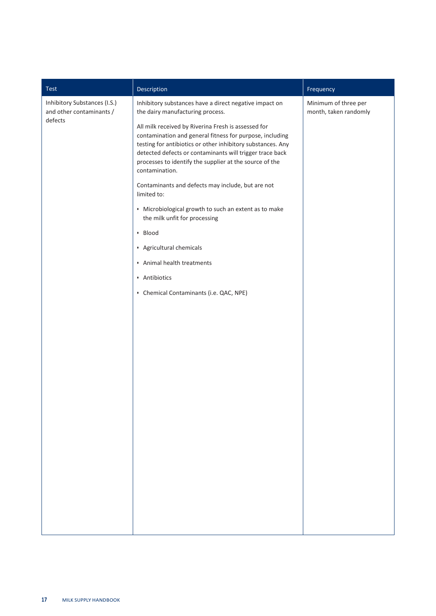| Description<br>Test<br>Frequency                                                                                                                                                                                                                                                                                                                                                                                                                                                                                                                                                                                                                                                                                                                                                            |                                               |
|---------------------------------------------------------------------------------------------------------------------------------------------------------------------------------------------------------------------------------------------------------------------------------------------------------------------------------------------------------------------------------------------------------------------------------------------------------------------------------------------------------------------------------------------------------------------------------------------------------------------------------------------------------------------------------------------------------------------------------------------------------------------------------------------|-----------------------------------------------|
| Inhibitory Substances (I.S.)<br>Inhibitory substances have a direct negative impact on<br>and other contaminants /<br>the dairy manufacturing process.<br>defects<br>All milk received by Riverina Fresh is assessed for<br>contamination and general fitness for purpose, including<br>testing for antibiotics or other inhibitory substances. Any<br>detected defects or contaminants will trigger trace back<br>processes to identify the supplier at the source of the<br>contamination.<br>Contaminants and defects may include, but are not<br>limited to:<br>• Microbiological growth to such an extent as to make<br>the milk unfit for processing<br>• Blood<br>• Agricultural chemicals<br>• Animal health treatments<br>• Antibiotics<br>• Chemical Contaminants (i.e. QAC, NPE) | Minimum of three per<br>month, taken randomly |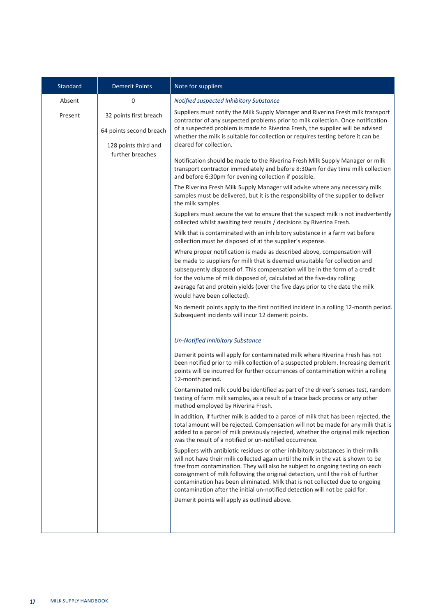| Standard | <b>Demerit Points</b>                             | Note for suppliers                                                                                                                                                                                                                                                                                                                                                                                                                                                                                      |
|----------|---------------------------------------------------|---------------------------------------------------------------------------------------------------------------------------------------------------------------------------------------------------------------------------------------------------------------------------------------------------------------------------------------------------------------------------------------------------------------------------------------------------------------------------------------------------------|
| Absent   | 0                                                 | Notified suspected Inhibitory Substance                                                                                                                                                                                                                                                                                                                                                                                                                                                                 |
| Present  | 32 points first breach<br>64 points second breach | Suppliers must notify the Milk Supply Manager and Riverina Fresh milk transport<br>contractor of any suspected problems prior to milk collection. Once notification<br>of a suspected problem is made to Riverina Fresh, the supplier will be advised<br>whether the milk is suitable for collection or requires testing before it can be                                                                                                                                                               |
|          | 128 points third and                              | cleared for collection.                                                                                                                                                                                                                                                                                                                                                                                                                                                                                 |
|          | further breaches                                  | Notification should be made to the Riverina Fresh Milk Supply Manager or milk<br>transport contractor immediately and before 8:30am for day time milk collection<br>and before 6:30pm for evening collection if possible.                                                                                                                                                                                                                                                                               |
|          |                                                   | The Riverina Fresh Milk Supply Manager will advise where any necessary milk<br>samples must be delivered, but it is the responsibility of the supplier to deliver<br>the milk samples.                                                                                                                                                                                                                                                                                                                  |
|          |                                                   | Suppliers must secure the vat to ensure that the suspect milk is not inadvertently<br>collected whilst awaiting test results / decisions by Riverina Fresh.                                                                                                                                                                                                                                                                                                                                             |
|          |                                                   | Milk that is contaminated with an inhibitory substance in a farm vat before<br>collection must be disposed of at the supplier's expense.                                                                                                                                                                                                                                                                                                                                                                |
|          |                                                   | Where proper notification is made as described above, compensation will<br>be made to suppliers for milk that is deemed unsuitable for collection and<br>subsequently disposed of. This compensation will be in the form of a credit<br>for the volume of milk disposed of, calculated at the five-day rolling<br>average fat and protein yields (over the five days prior to the date the milk<br>would have been collected).                                                                          |
|          |                                                   | No demerit points apply to the first notified incident in a rolling 12-month period.<br>Subsequent incidents will incur 12 demerit points.                                                                                                                                                                                                                                                                                                                                                              |
|          |                                                   | <b>Un-Notified Inhibitory Substance</b>                                                                                                                                                                                                                                                                                                                                                                                                                                                                 |
|          |                                                   | Demerit points will apply for contaminated milk where Riverina Fresh has not<br>been notified prior to milk collection of a suspected problem. Increasing demerit<br>points will be incurred for further occurrences of contamination within a rolling<br>12-month period.                                                                                                                                                                                                                              |
|          |                                                   | Contaminated milk could be identified as part of the driver's senses test, random<br>testing of farm milk samples, as a result of a trace back process or any other<br>method employed by Riverina Fresh.                                                                                                                                                                                                                                                                                               |
|          |                                                   | In addition, if further milk is added to a parcel of milk that has been rejected, the<br>total amount will be rejected. Compensation will not be made for any milk that is<br>added to a parcel of milk previously rejected, whether the original milk rejection<br>was the result of a notified or un-notified occurrence.                                                                                                                                                                             |
|          |                                                   | Suppliers with antibiotic residues or other inhibitory substances in their milk<br>will not have their milk collected again until the milk in the vat is shown to be<br>free from contamination. They will also be subject to ongoing testing on each<br>consignment of milk following the original detection, until the risk of further<br>contamination has been eliminated. Milk that is not collected due to ongoing<br>contamination after the initial un-notified detection will not be paid for. |
|          |                                                   | Demerit points will apply as outlined above.                                                                                                                                                                                                                                                                                                                                                                                                                                                            |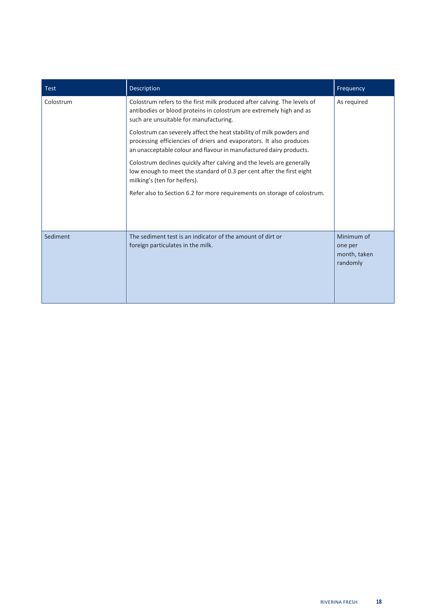| <b>Test</b> | Description                                                                                                                                                                                                       | Frequency                                         |
|-------------|-------------------------------------------------------------------------------------------------------------------------------------------------------------------------------------------------------------------|---------------------------------------------------|
| Colostrum   | Colostrum refers to the first milk produced after calving. The levels of<br>antibodies or blood proteins in colostrum are extremely high and as<br>such are unsuitable for manufacturing.                         | As required                                       |
|             | Colostrum can severely affect the heat stability of milk powders and<br>processing efficiencies of driers and evaporators. It also produces<br>an unacceptable colour and flavour in manufactured dairy products. |                                                   |
|             | Colostrum declines quickly after calving and the levels are generally<br>low enough to meet the standard of 0.3 per cent after the first eight<br>milking's (ten for heifers).                                    |                                                   |
|             | Refer also to Section 6.2 for more requirements on storage of colostrum.                                                                                                                                          |                                                   |
| Sediment    | The sediment test is an indicator of the amount of dirt or<br>foreign particulates in the milk.                                                                                                                   | Minimum of<br>one per<br>month, taken<br>randomly |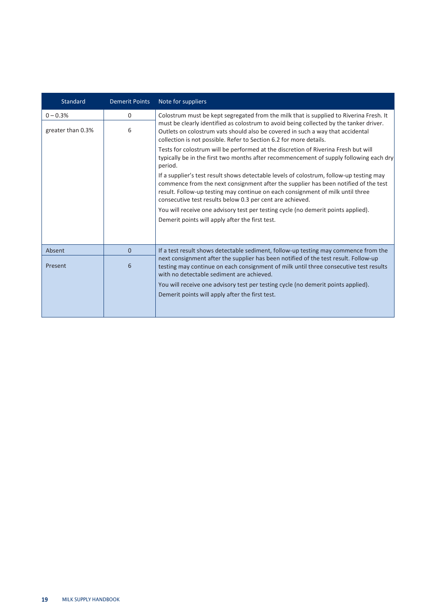| Standard          | <b>Demerit Points</b> | Note for suppliers                                                                                                                                                                                                                                                                                                                                                |
|-------------------|-----------------------|-------------------------------------------------------------------------------------------------------------------------------------------------------------------------------------------------------------------------------------------------------------------------------------------------------------------------------------------------------------------|
| $0 - 0.3%$        | 0                     | Colostrum must be kept segregated from the milk that is supplied to Riverina Fresh. It                                                                                                                                                                                                                                                                            |
| greater than 0.3% | 6                     | must be clearly identified as colostrum to avoid being collected by the tanker driver.<br>Outlets on colostrum vats should also be covered in such a way that accidental<br>collection is not possible. Refer to Section 6.2 for more details.                                                                                                                    |
|                   |                       | Tests for colostrum will be performed at the discretion of Riverina Fresh but will<br>typically be in the first two months after recommencement of supply following each dry<br>period.                                                                                                                                                                           |
|                   |                       | If a supplier's test result shows detectable levels of colostrum, follow-up testing may<br>commence from the next consignment after the supplier has been notified of the test<br>result. Follow-up testing may continue on each consignment of milk until three<br>consecutive test results below 0.3 per cent are achieved.                                     |
|                   |                       | You will receive one advisory test per testing cycle (no demerit points applied).                                                                                                                                                                                                                                                                                 |
|                   |                       | Demerit points will apply after the first test.                                                                                                                                                                                                                                                                                                                   |
|                   |                       |                                                                                                                                                                                                                                                                                                                                                                   |
| Absent            | $\Omega$              | If a test result shows detectable sediment, follow-up testing may commence from the                                                                                                                                                                                                                                                                               |
| Present           | 6                     | next consignment after the supplier has been notified of the test result. Follow-up<br>testing may continue on each consignment of milk until three consecutive test results<br>with no detectable sediment are achieved.<br>You will receive one advisory test per testing cycle (no demerit points applied).<br>Demerit points will apply after the first test. |
|                   |                       |                                                                                                                                                                                                                                                                                                                                                                   |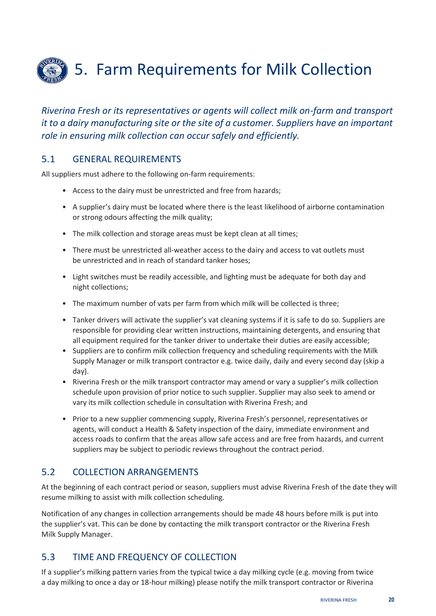<span id="page-25-0"></span>

*Riverina Fresh or its representatives or agents will collect milk on-farm and transport it to a dairy manufacturing site or the site of a customer. Suppliers have an important role in ensuring milk collection can occur safely and efficiently.*

#### <span id="page-25-1"></span>5.1 GENERAL REQUIREMENTS

All suppliers must adhere to the following on-farm requirements:

- Access to the dairy must be unrestricted and free from hazards;
- A supplier's dairy must be located where there is the least likelihood of airborne contamination or strong odours affecting the milk quality;
- The milk collection and storage areas must be kept clean at all times;
- There must be unrestricted all-weather access to the dairy and access to vat outlets must be unrestricted and in reach of standard tanker hoses;
- Light switches must be readily accessible, and lighting must be adequate for both day and night collections;
- The maximum number of vats per farm from which milk will be collected is three;
- Tanker drivers will activate the supplier's vat cleaning systems if it is safe to do so. Suppliers are responsible for providing clear written instructions, maintaining detergents, and ensuring that all equipment required for the tanker driver to undertake their duties are easily accessible;
- Suppliers are to confirm milk collection frequency and scheduling requirements with the Milk Supply Manager or milk transport contractor e.g. twice daily, daily and every second day (skip a day).
- Riverina Fresh or the milk transport contractor may amend or vary a supplier's milk collection schedule upon provision of prior notice to such supplier. Supplier may also seek to amend or vary its milk collection schedule in consultation with Riverina Fresh; and
- Prior to a new supplier commencing supply, Riverina Fresh's personnel, representatives or agents, will conduct a Health & Safety inspection of the dairy, immediate environment and access roads to confirm that the areas allow safe access and are free from hazards, and current suppliers may be subject to periodic reviews throughout the contract period.

#### <span id="page-25-2"></span>5.2 COLLECTION ARRANGEMENTS

At the beginning of each contract period or season, suppliers must advise Riverina Fresh of the date they will resume milking to assist with milk collection scheduling.

Notification of any changes in collection arrangements should be made 48 hours before milk is put into the supplier's vat. This can be done by contacting the milk transport contractor or the Riverina Fresh Milk Supply Manager.

## <span id="page-25-3"></span>5.3 TIME AND FREQUENCY OF COLLECTION

If a supplier's milking pattern varies from the typical twice a day milking cycle (e.g. moving from twice a day milking to once a day or 18-hour milking) please notify the milk transport contractor or Riverina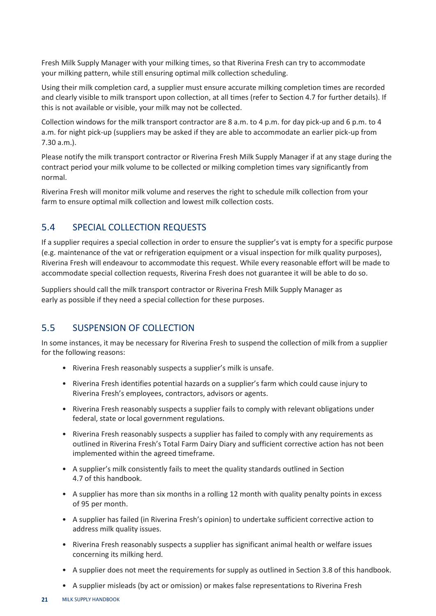Fresh Milk Supply Manager with your milking times, so that Riverina Fresh can try to accommodate your milking pattern, while still ensuring optimal milk collection scheduling.

Using their milk completion card, a supplier must ensure accurate milking completion times are recorded and clearly visible to milk transport upon collection, at all times (refer to Section 4.7 for further details). If this is not available or visible, your milk may not be collected.

Collection windows for the milk transport contractor are 8 a.m. to 4 p.m. for day pick-up and 6 p.m. to 4 a.m. for night pick-up (suppliers may be asked if they are able to accommodate an earlier pick-up from 7.30 a.m.).

Please notify the milk transport contractor or Riverina Fresh Milk Supply Manager if at any stage during the contract period your milk volume to be collected or milking completion times vary significantly from normal.

Riverina Fresh will monitor milk volume and reserves the right to schedule milk collection from your farm to ensure optimal milk collection and lowest milk collection costs.

#### <span id="page-26-0"></span>5.4 SPECIAL COLLECTION REQUESTS

If a supplier requires a special collection in order to ensure the supplier's vat is empty for a specific purpose (e.g. maintenance of the vat or refrigeration equipment or a visual inspection for milk quality purposes), Riverina Fresh will endeavour to accommodate this request. While every reasonable effort will be made to accommodate special collection requests, Riverina Fresh does not guarantee it will be able to do so.

Suppliers should call the milk transport contractor or Riverina Fresh Milk Supply Manager as early as possible if they need a special collection for these purposes.

#### <span id="page-26-1"></span>5.5 SUSPENSION OF COLLECTION

In some instances, it may be necessary for Riverina Fresh to suspend the collection of milk from a supplier for the following reasons:

- Riverina Fresh reasonably suspects a supplier's milk is unsafe.
- Riverina Fresh identifies potential hazards on a supplier's farm which could cause injury to Riverina Fresh's employees, contractors, advisors or agents.
- Riverina Fresh reasonably suspects a supplier fails to comply with relevant obligations under federal, state or local government regulations.
- Riverina Fresh reasonably suspects a supplier has failed to comply with any requirements as outlined in Riverina Fresh's Total Farm Dairy Diary and sufficient corrective action has not been implemented within the agreed timeframe.
- A supplier's milk consistently fails to meet the quality standards outlined in Section 4.7 of this handbook.
- A supplier has more than six months in a rolling 12 month with quality penalty points in excess of 95 per month.
- A supplier has failed (in Riverina Fresh's opinion) to undertake sufficient corrective action to address milk quality issues.
- Riverina Fresh reasonably suspects a supplier has significant animal health or welfare issues concerning its milking herd.
- A supplier does not meet the requirements for supply as outlined in Section 3.8 of this handbook.
- A supplier misleads (by act or omission) or makes false representations to Riverina Fresh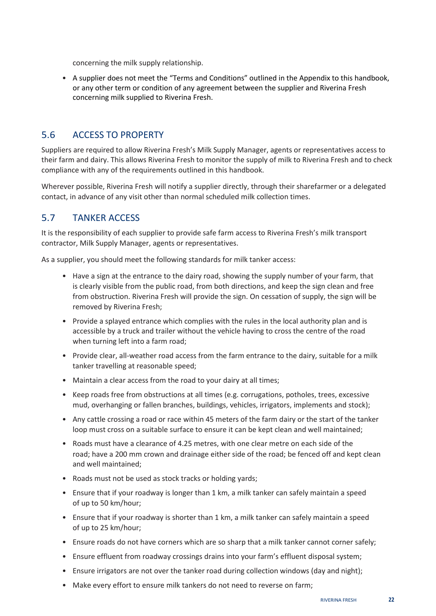concerning the milk supply relationship.

• A supplier does not meet the "Terms and Conditions" outlined in the Appendix to this handbook, or any other term or condition of any agreement between the supplier and Riverina Fresh concerning milk supplied to Riverina Fresh.

#### <span id="page-27-0"></span>5.6 ACCESS TO PROPERTY

Suppliers are required to allow Riverina Fresh's Milk Supply Manager, agents or representatives access to their farm and dairy. This allows Riverina Fresh to monitor the supply of milk to Riverina Fresh and to check compliance with any of the requirements outlined in this handbook.

Wherever possible, Riverina Fresh will notify a supplier directly, through their sharefarmer or a delegated contact, in advance of any visit other than normal scheduled milk collection times.

#### <span id="page-27-1"></span>5.7 TANKER ACCESS

It is the responsibility of each supplier to provide safe farm access to Riverina Fresh's milk transport contractor, Milk Supply Manager, agents or representatives.

As a supplier, you should meet the following standards for milk tanker access:

- Have a sign at the entrance to the dairy road, showing the supply number of your farm, that is clearly visible from the public road, from both directions, and keep the sign clean and free from obstruction. Riverina Fresh will provide the sign. On cessation of supply, the sign will be removed by Riverina Fresh;
- Provide a splayed entrance which complies with the rules in the local authority plan and is accessible by a truck and trailer without the vehicle having to cross the centre of the road when turning left into a farm road;
- Provide clear, all-weather road access from the farm entrance to the dairy, suitable for a milk tanker travelling at reasonable speed;
- Maintain a clear access from the road to your dairy at all times;
- Keep roads free from obstructions at all times (e.g. corrugations, potholes, trees, excessive mud, overhanging or fallen branches, buildings, vehicles, irrigators, implements and stock);
- Any cattle crossing a road or race within 45 meters of the farm dairy or the start of the tanker loop must cross on a suitable surface to ensure it can be kept clean and well maintained;
- Roads must have a clearance of 4.25 metres, with one clear metre on each side of the road; have a 200 mm crown and drainage either side of the road; be fenced off and kept clean and well maintained;
- Roads must not be used as stock tracks or holding yards;
- Ensure that if your roadway is longer than 1 km, a milk tanker can safely maintain a speed of up to 50 km/hour;
- Ensure that if your roadway is shorter than 1 km, a milk tanker can safely maintain a speed of up to 25 km/hour;
- Ensure roads do not have corners which are so sharp that a milk tanker cannot corner safely;
- Ensure effluent from roadway crossings drains into your farm's effluent disposal system;
- Ensure irrigators are not over the tanker road during collection windows (day and night);
- Make every effort to ensure milk tankers do not need to reverse on farm;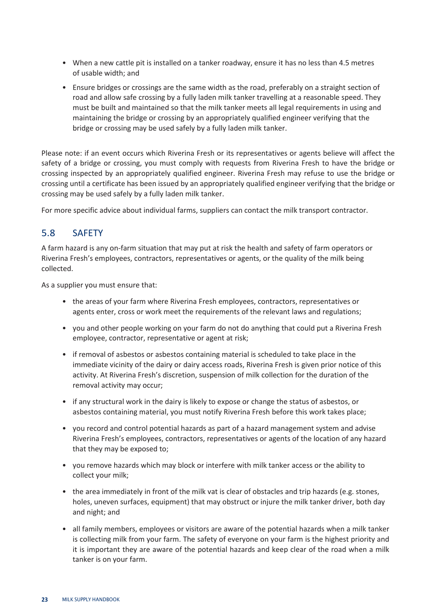- When a new cattle pit is installed on a tanker roadway, ensure it has no less than 4.5 metres of usable width; and
- Ensure bridges or crossings are the same width as the road, preferably on a straight section of road and allow safe crossing by a fully laden milk tanker travelling at a reasonable speed. They must be built and maintained so that the milk tanker meets all legal requirements in using and maintaining the bridge or crossing by an appropriately qualified engineer verifying that the bridge or crossing may be used safely by a fully laden milk tanker.

Please note: if an event occurs which Riverina Fresh or its representatives or agents believe will affect the safety of a bridge or crossing, you must comply with requests from Riverina Fresh to have the bridge or crossing inspected by an appropriately qualified engineer. Riverina Fresh may refuse to use the bridge or crossing until a certificate has been issued by an appropriately qualified engineer verifying that the bridge or crossing may be used safely by a fully laden milk tanker.

For more specific advice about individual farms, suppliers can contact the milk transport contractor.

## <span id="page-28-0"></span>5.8 SAFETY

A farm hazard is any on-farm situation that may put at risk the health and safety of farm operators or Riverina Fresh's employees, contractors, representatives or agents, or the quality of the milk being collected.

As a supplier you must ensure that:

- the areas of your farm where Riverina Fresh employees, contractors, representatives or agents enter, cross or work meet the requirements of the relevant laws and regulations;
- you and other people working on your farm do not do anything that could put a Riverina Fresh employee, contractor, representative or agent at risk;
- if removal of asbestos or asbestos containing material is scheduled to take place in the immediate vicinity of the dairy or dairy access roads, Riverina Fresh is given prior notice of this activity. At Riverina Fresh's discretion, suspension of milk collection for the duration of the removal activity may occur;
- if any structural work in the dairy is likely to expose or change the status of asbestos, or asbestos containing material, you must notify Riverina Fresh before this work takes place;
- you record and control potential hazards as part of a hazard management system and advise Riverina Fresh's employees, contractors, representatives or agents of the location of any hazard that they may be exposed to;
- you remove hazards which may block or interfere with milk tanker access or the ability to collect your milk;
- the area immediately in front of the milk vat is clear of obstacles and trip hazards (e.g. stones, holes, uneven surfaces, equipment) that may obstruct or injure the milk tanker driver, both day and night; and
- all family members, employees or visitors are aware of the potential hazards when a milk tanker is collecting milk from your farm. The safety of everyone on your farm is the highest priority and it is important they are aware of the potential hazards and keep clear of the road when a milk tanker is on your farm.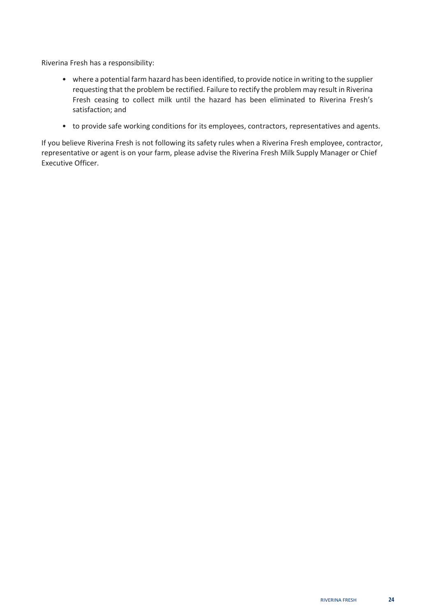Riverina Fresh has a responsibility:

- where a potential farm hazard has been identified, to provide notice in writing to the supplier requesting that the problem be rectified. Failure to rectify the problem may result in Riverina Fresh ceasing to collect milk until the hazard has been eliminated to Riverina Fresh's satisfaction; and
- to provide safe working conditions for its employees, contractors, representatives and agents.

If you believe Riverina Fresh is not following its safety rules when a Riverina Fresh employee, contractor, representative or agent is on your farm, please advise the Riverina Fresh Milk Supply Manager or Chief Executive Officer.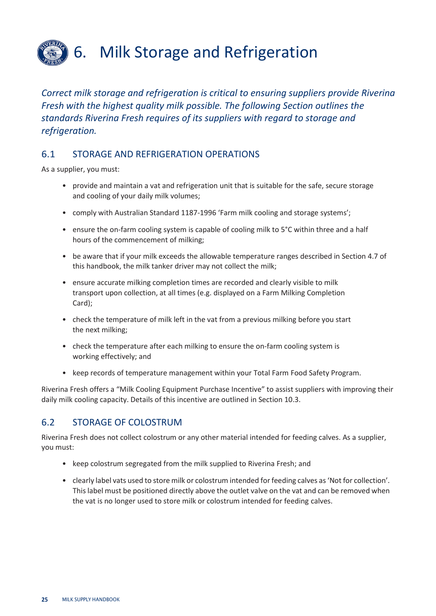<span id="page-30-0"></span>

*Correct milk storage and refrigeration is critical to ensuring suppliers provide Riverina Fresh with the highest quality milk possible. The following Section outlines the standards Riverina Fresh requires of its suppliers with regard to storage and refrigeration.*

#### <span id="page-30-1"></span>6.1 STORAGE AND REFRIGERATION OPERATIONS

As a supplier, you must:

- provide and maintain a vat and refrigeration unit that is suitable for the safe, secure storage and cooling of your daily milk volumes;
- comply with Australian Standard 1187-1996 'Farm milk cooling and storage systems';
- ensure the on-farm cooling system is capable of cooling milk to 5°C within three and a half hours of the commencement of milking;
- be aware that if your milk exceeds the allowable temperature ranges described in Section 4.7 of this handbook, the milk tanker driver may not collect the milk;
- ensure accurate milking completion times are recorded and clearly visible to milk transport upon collection, at all times (e.g. displayed on a Farm Milking Completion Card);
- check the temperature of milk left in the vat from a previous milking before you start the next milking;
- check the temperature after each milking to ensure the on-farm cooling system is working effectively; and
- keep records of temperature management within your Total Farm Food Safety Program.

Riverina Fresh offers a "Milk Cooling Equipment Purchase Incentive" to assist suppliers with improving their daily milk cooling capacity. Details of this incentive are outlined in Section 10.3.

## <span id="page-30-2"></span>6.2 STORAGE OF COLOSTRUM

Riverina Fresh does not collect colostrum or any other material intended for feeding calves. As a supplier, you must:

- keep colostrum segregated from the milk supplied to Riverina Fresh; and
- clearly label vats used to store milk or colostrum intended for feeding calves as 'Not for collection'. This label must be positioned directly above the outlet valve on the vat and can be removed when the vat is no longer used to store milk or colostrum intended for feeding calves.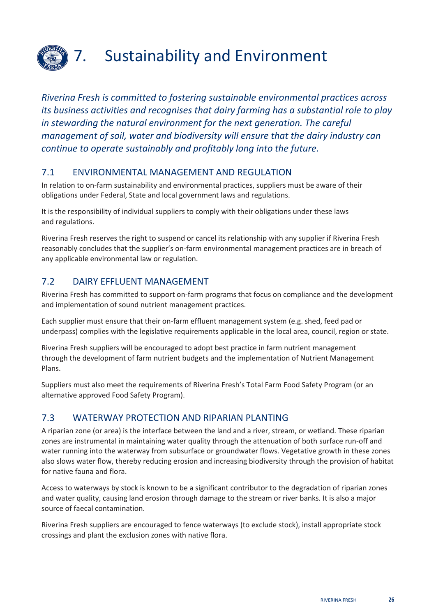

# <span id="page-31-0"></span>7. Sustainability and Environment

*Riverina Fresh is committed to fostering sustainable environmental practices across its business activities and recognises that dairy farming has a substantial role to play in stewarding the natural environment for the next generation. The careful management of soil, water and biodiversity will ensure that the dairy industry can continue to operate sustainably and profitably long into the future.*

#### <span id="page-31-1"></span>7.1 ENVIRONMENTAL MANAGEMENT AND REGULATION

In relation to on-farm sustainability and environmental practices, suppliers must be aware of their obligations under Federal, State and local government laws and regulations.

It is the responsibility of individual suppliers to comply with their obligations under these laws and regulations.

Riverina Fresh reserves the right to suspend or cancel its relationship with any supplier if Riverina Fresh reasonably concludes that the supplier's on-farm environmental management practices are in breach of any applicable environmental law or regulation.

## <span id="page-31-2"></span>7.2 DAIRY EFFLUENT MANAGEMENT

Riverina Fresh has committed to support on-farm programs that focus on compliance and the development and implementation of sound nutrient management practices.

Each supplier must ensure that their on-farm effluent management system (e.g. shed, feed pad or underpass) complies with the legislative requirements applicable in the local area, council, region or state.

Riverina Fresh suppliers will be encouraged to adopt best practice in farm nutrient management through the development of farm nutrient budgets and the implementation of Nutrient Management Plans.

Suppliers must also meet the requirements of Riverina Fresh's Total Farm Food Safety Program (or an alternative approved Food Safety Program).

#### <span id="page-31-3"></span>7.3 WATERWAY PROTECTION AND RIPARIAN PLANTING

A riparian zone (or area) is the interface between the land and a river, stream, or wetland. These riparian zones are instrumental in maintaining water quality through the attenuation of both surface run-off and water running into the waterway from subsurface or groundwater flows. Vegetative growth in these zones also slows water flow, thereby reducing erosion and increasing biodiversity through the provision of habitat for native fauna and flora.

Access to waterways by stock is known to be a significant contributor to the degradation of riparian zones and water quality, causing land erosion through damage to the stream or river banks. It is also a major source of faecal contamination.

Riverina Fresh suppliers are encouraged to fence waterways (to exclude stock), install appropriate stock crossings and plant the exclusion zones with native flora.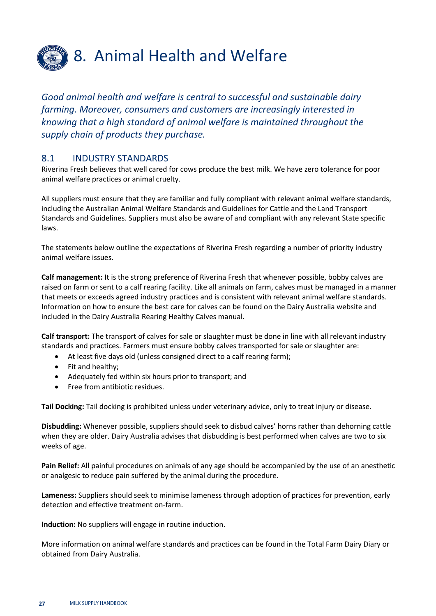

## <span id="page-32-0"></span>8. Animal Health and Welfare

*Good animal health and welfare is central to successful and sustainable dairy farming. Moreover, consumers and customers are increasingly interested in knowing that a high standard of animal welfare is maintained throughout the supply chain of products they purchase.*

#### <span id="page-32-1"></span>8.1 INDUSTRY STANDARDS

Riverina Fresh believes that well cared for cows produce the best milk. We have zero tolerance for poor animal welfare practices or animal cruelty.

All suppliers must ensure that they are familiar and fully compliant with relevant animal welfare standards, including the Australian Animal Welfare Standards and Guidelines for Cattle and the Land Transport Standards and Guidelines. Suppliers must also be aware of and compliant with any relevant State specific laws.

The statements below outline the expectations of Riverina Fresh regarding a number of priority industry animal welfare issues.

**Calf management:** It is the strong preference of Riverina Fresh that whenever possible, bobby calves are raised on farm or sent to a calf rearing facility. Like all animals on farm, calves must be managed in a manner that meets or exceeds agreed industry practices and is consistent with relevant animal welfare standards. Information on how to ensure the best care for calves can be found on the Dairy Australia website and included in the Dairy Australia Rearing Healthy Calves manual.

**Calf transport:** The transport of calves for sale or slaughter must be done in line with all relevant industry standards and practices. Farmers must ensure bobby calves transported for sale or slaughter are:

- At least five days old (unless consigned direct to a calf rearing farm);
- Fit and healthy;
- Adequately fed within six hours prior to transport; and
- Free from antibiotic residues.

**Tail Docking:** Tail docking is prohibited unless under veterinary advice, only to treat injury or disease.

**Disbudding:** Whenever possible, suppliers should seek to disbud calves' horns rather than dehorning cattle when they are older. Dairy Australia advises that disbudding is best performed when calves are two to six weeks of age.

**Pain Relief:** All painful procedures on animals of any age should be accompanied by the use of an anesthetic or analgesic to reduce pain suffered by the animal during the procedure.

**Lameness:** Suppliers should seek to minimise lameness through adoption of practices for prevention, early detection and effective treatment on-farm.

**Induction:** No suppliers will engage in routine induction.

More information on animal welfare standards and practices can be found in the Total Farm Dairy Diary or obtained from Dairy Australia.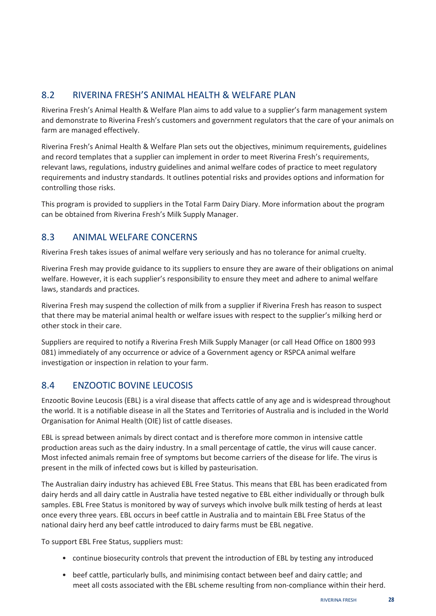## <span id="page-33-0"></span>8.2 RIVERINA FRESH'S ANIMAL HEALTH & WELFARE PLAN

Riverina Fresh's Animal Health & Welfare Plan aims to add value to a supplier's farm management system and demonstrate to Riverina Fresh's customers and government regulators that the care of your animals on farm are managed effectively.

Riverina Fresh's Animal Health & Welfare Plan sets out the objectives, minimum requirements, guidelines and record templates that a supplier can implement in order to meet Riverina Fresh's requirements, relevant laws, regulations, industry guidelines and animal welfare codes of practice to meet regulatory requirements and industry standards. It outlines potential risks and provides options and information for controlling those risks.

This program is provided to suppliers in the Total Farm Dairy Diary. More information about the program can be obtained from Riverina Fresh's Milk Supply Manager.

#### <span id="page-33-1"></span>8.3 ANIMAL WELFARE CONCERNS

Riverina Fresh takes issues of animal welfare very seriously and has no tolerance for animal cruelty.

Riverina Fresh may provide guidance to its suppliers to ensure they are aware of their obligations on animal welfare. However, it is each supplier's responsibility to ensure they meet and adhere to animal welfare laws, standards and practices.

Riverina Fresh may suspend the collection of milk from a supplier if Riverina Fresh has reason to suspect that there may be material animal health or welfare issues with respect to the supplier's milking herd or other stock in their care.

Suppliers are required to notify a Riverina Fresh Milk Supply Manager (or call Head Office on 1800 993 081) immediately of any occurrence or advice of a Government agency or RSPCA animal welfare investigation or inspection in relation to your farm.

## <span id="page-33-2"></span>8.4 ENZOOTIC BOVINE LEUCOSIS

Enzootic Bovine Leucosis (EBL) is a viral disease that affects cattle of any age and is widespread throughout the world. It is a notifiable disease in all the States and Territories of Australia and is included in the World Organisation for Animal Health (OIE) list of cattle diseases.

EBL is spread between animals by direct contact and is therefore more common in intensive cattle production areas such as the dairy industry. In a small percentage of cattle, the virus will cause cancer. Most infected animals remain free of symptoms but become carriers of the disease for life. The virus is present in the milk of infected cows but is killed by pasteurisation.

The Australian dairy industry has achieved EBL Free Status. This means that EBL has been eradicated from dairy herds and all dairy cattle in Australia have tested negative to EBL either individually or through bulk samples. EBL Free Status is monitored by way of surveys which involve bulk milk testing of herds at least once every three years. EBL occurs in beef cattle in Australia and to maintain EBL Free Status of the national dairy herd any beef cattle introduced to dairy farms must be EBL negative.

To support EBL Free Status, suppliers must:

- continue biosecurity controls that prevent the introduction of EBL by testing any introduced
- beef cattle, particularly bulls, and minimising contact between beef and dairy cattle; and meet all costs associated with the EBL scheme resulting from non-compliance within their herd.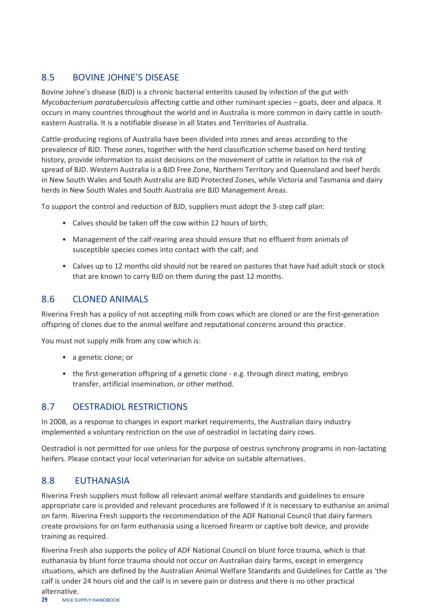#### <span id="page-34-0"></span>8.5 BOVINE JOHNE'S DISEASE

Bovine Johne's disease (BJD) is a chronic bacterial enteritis caused by infection of the gut with *Mycobacterium paratuberculosis* affecting cattle and other ruminant species – goats, deer and alpaca. It occurs in many countries throughout the world and in Australia is more common in dairy cattle in southeastern Australia. It is a notifiable disease in all States and Territories of Australia.

Cattle-producing regions of Australia have been divided into zones and areas according to the prevalence of BJD. These zones, together with the herd classification scheme based on herd testing history, provide information to assist decisions on the movement of cattle in relation to the risk of spread of BJD. Western Australia is a BJD Free Zone, Northern Territory and Queensland and beef herds in New South Wales and South Australia are BJD Protected Zones, while Victoria and Tasmania and dairy herds in New South Wales and South Australia are BJD Management Areas.

To support the control and reduction of BJD, suppliers must adopt the 3-step calf plan:

- Calves should be taken off the cow within 12 hours of birth;
- Management of the calf-rearing area should ensure that no effluent from animals of susceptible species comes into contact with the calf; and
- Calves up to 12 months old should not be reared on pastures that have had adult stock or stock that are known to carry BJD on them during the past 12 months.

#### <span id="page-34-1"></span>8.6 CLONED ANIMALS

Riverina Fresh has a policy of not accepting milk from cows which are cloned or are the first-generation offspring of clones due to the animal welfare and reputational concerns around this practice.

You must not supply milk from any cow which is:

- a genetic clone; or
- the first-generation offspring of a genetic clone e.g. through direct mating, embryo transfer, artificial insemination, or other method.

## <span id="page-34-2"></span>8.7 OESTRADIOL RESTRICTIONS

In 2008, as a response to changes in export market requirements, the Australian dairy industry implemented a voluntary restriction on the use of oestradiol in lactating dairy cows.

Oestradiol is not permitted for use unless for the purpose of oestrus synchrony programs in non-lactating heifers. Please contact your local veterinarian for advice on suitable alternatives.

#### <span id="page-34-3"></span>8.8 EUTHANASIA

Riverina Fresh suppliers must follow all relevant animal welfare standards and guidelines to ensure appropriate care is provided and relevant procedures are followed if it is necessary to euthanise an animal on farm. Riverina Fresh supports the recommendation of the ADF National Council that dairy farmers create provisions for on farm euthanasia using a licensed firearm or captive bolt device, and provide training as required.

Riverina Fresh also supports the policy of ADF National Council on blunt force trauma, which is that euthanasia by blunt force trauma should not occur on Australian dairy farms, except in emergency situations, which are defined by the Australian Animal Welfare Standards and Guidelines for Cattle as 'the calf is under 24 hours old and the calf is in severe pain or distress and there is no other practical alternative.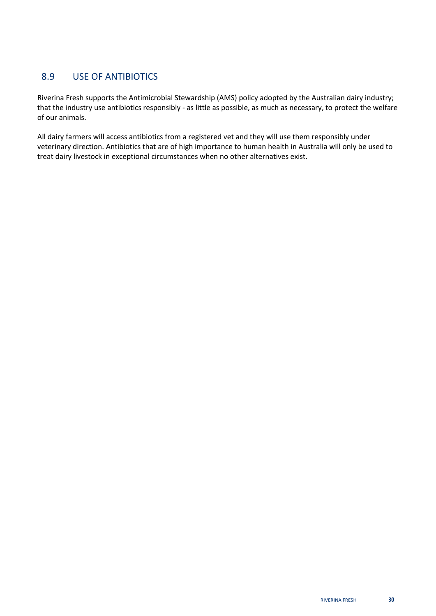## <span id="page-35-0"></span>8.9 USE OF ANTIBIOTICS

Riverina Fresh supports the Antimicrobial Stewardship (AMS) policy adopted by the Australian dairy industry; that the industry use antibiotics responsibly - as little as possible, as much as necessary, to protect the welfare of our animals.

All dairy farmers will access antibiotics from a registered vet and they will use them responsibly under veterinary direction. Antibiotics that are of high importance to human health in Australia will only be used to treat dairy livestock in exceptional circumstances when no other alternatives exist.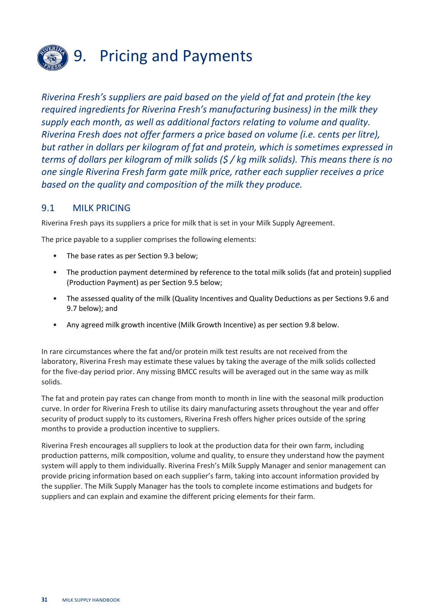

## <span id="page-36-0"></span>9. Pricing and Payments

*Riverina Fresh's suppliers are paid based on the yield of fat and protein (the key required ingredients for Riverina Fresh's manufacturing business) in the milk they supply each month, as well as additional factors relating to volume and quality. Riverina Fresh does not offer farmers a price based on volume (i.e. cents per litre), but rather in dollars per kilogram of fat and protein, which is sometimes expressed in terms of dollars per kilogram of milk solids (\$ / kg milk solids). This means there is no one single Riverina Fresh farm gate milk price, rather each supplier receives a price based on the quality and composition of the milk they produce.*

#### <span id="page-36-1"></span>9.1 MILK PRICING

Riverina Fresh pays its suppliers a price for milk that is set in your Milk Supply Agreement.

The price payable to a supplier comprises the following elements:

- The base rates as per Section 9.3 below;
- The production payment determined by reference to the total milk solids (fat and protein) supplied (Production Payment) as per Section 9.5 below;
- The assessed quality of the milk (Quality Incentives and Quality Deductions as per Sections 9.6 and 9.7 below); and
- Any agreed milk growth incentive (Milk Growth Incentive) as per section 9.8 below.

In rare circumstances where the fat and/or protein milk test results are not received from the laboratory, Riverina Fresh may estimate these values by taking the average of the milk solids collected for the five-day period prior. Any missing BMCC results will be averaged out in the same way as milk solids.

The fat and protein pay rates can change from month to month in line with the seasonal milk production curve. In order for Riverina Fresh to utilise its dairy manufacturing assets throughout the year and offer security of product supply to its customers, Riverina Fresh offers higher prices outside of the spring months to provide a production incentive to suppliers.

Riverina Fresh encourages all suppliers to look at the production data for their own farm, including production patterns, milk composition, volume and quality, to ensure they understand how the payment system will apply to them individually. Riverina Fresh's Milk Supply Manager and senior management can provide pricing information based on each supplier's farm, taking into account information provided by the supplier. The Milk Supply Manager has the tools to complete income estimations and budgets for suppliers and can explain and examine the different pricing elements for their farm.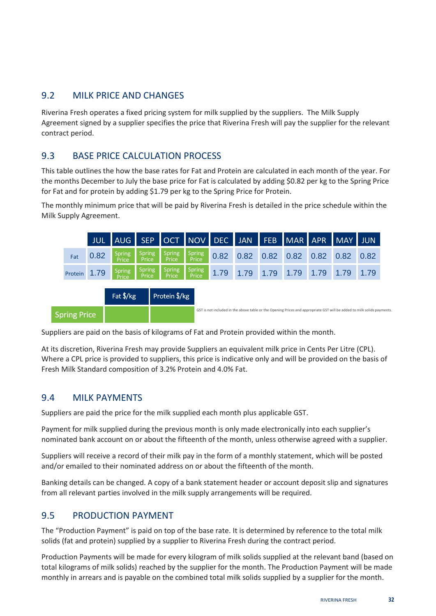#### <span id="page-37-0"></span>9.2 MILK PRICE AND CHANGES

Riverina Fresh operates a fixed pricing system for milk supplied by the suppliers. The Milk Supply Agreement signed by a supplier specifies the price that Riverina Fresh will pay the supplier for the relevant contract period.

#### <span id="page-37-1"></span>9.3 BASE PRICE CALCULATION PROCESS

This table outlines the how the base rates for Fat and Protein are calculated in each month of the year. For the months December to July the base price for Fat is calculated by adding \$0.82 per kg to the Spring Price for Fat and for protein by adding \$1.79 per kg to the Spring Price for Protein.

The monthly minimum price that will be paid by Riverina Fresh is detailed in the price schedule within the Milk Supply Agreement.



Suppliers are paid on the basis of kilograms of Fat and Protein provided within the month.

At its discretion, Riverina Fresh may provide Suppliers an equivalent milk price in Cents Per Litre (CPL). Where a CPL price is provided to suppliers, this price is indicative only and will be provided on the basis of Fresh Milk Standard composition of 3.2% Protein and 4.0% Fat.

#### <span id="page-37-2"></span>9.4 MILK PAYMENTS

Suppliers are paid the price for the milk supplied each month plus applicable GST.

Payment for milk supplied during the previous month is only made electronically into each supplier's nominated bank account on or about the fifteenth of the month, unless otherwise agreed with a supplier.

Suppliers will receive a record of their milk pay in the form of a monthly statement, which will be posted and/or emailed to their nominated address on or about the fifteenth of the month.

Banking details can be changed. A copy of a bank statement header or account deposit slip and signatures from all relevant parties involved in the milk supply arrangements will be required.

## <span id="page-37-3"></span>9.5 PRODUCTION PAYMENT

The "Production Payment" is paid on top of the base rate. It is determined by reference to the total milk solids (fat and protein) supplied by a supplier to Riverina Fresh during the contract period.

Production Payments will be made for every kilogram of milk solids supplied at the relevant band (based on total kilograms of milk solids) reached by the supplier for the month. The Production Payment will be made monthly in arrears and is payable on the combined total milk solids supplied by a supplier for the month.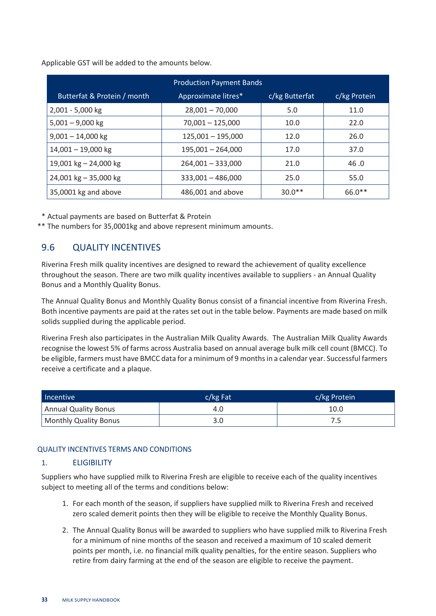Applicable GST will be added to the amounts below.

| <b>Production Payment Bands</b> |                     |                |              |  |  |
|---------------------------------|---------------------|----------------|--------------|--|--|
| Butterfat & Protein / month     | Approximate litres* | c/kg Butterfat | c/kg Protein |  |  |
| 2,001 - 5,000 kg                | $28,001 - 70,000$   | 5.0            | 11.0         |  |  |
| $5,001 - 9,000$ kg              | $70,001 - 125,000$  | 10.0           | 22.0         |  |  |
| $9,001 - 14,000$ kg             | $125,001 - 195,000$ | 12.0           | 26.0         |  |  |
| $14,001 - 19,000$ kg            | $195,001 - 264,000$ | 17.0           | 37.0         |  |  |
| 19,001 kg $-$ 24,000 kg         | $264,001 - 333,000$ | 21.0           | 46.0         |  |  |
| 24,001 kg $-$ 35,000 kg         | $333,001 - 486,000$ | 25.0           | 55.0         |  |  |
| 35,0001 kg and above            | 486,001 and above   | $30.0**$       | $66.0**$     |  |  |

\* Actual payments are based on Butterfat & Protein

\*\* The numbers for 35,0001kg and above represent minimum amounts.

#### <span id="page-38-0"></span>9.6 QUALITY INCENTIVES

Riverina Fresh milk quality incentives are designed to reward the achievement of quality excellence throughout the season. There are two milk quality incentives available to suppliers - an Annual Quality Bonus and a Monthly Quality Bonus.

The Annual Quality Bonus and Monthly Quality Bonus consist of a financial incentive from Riverina Fresh. Both incentive payments are paid at the rates set out in the table below. Payments are made based on milk solids supplied during the applicable period.

Riverina Fresh also participates in the Australian Milk Quality Awards. The Australian Milk Quality Awards recognise the lowest 5% of farms across Australia based on annual average bulk milk cell count (BMCC). To be eligible, farmers must have BMCC data for a minimum of 9 months in a calendar year. Successful farmers receive a certificate and a plaque.

| Incentive             | $c/kg$ Fat | c/kg Protein |  |  |
|-----------------------|------------|--------------|--|--|
| Annual Quality Bonus  | 4.0        | 10.0         |  |  |
| Monthly Quality Bonus | 3.0        |              |  |  |

#### QUALITY INCENTIVES TERMS AND CONDITIONS

#### <span id="page-38-1"></span>1. ELIGIBILITY

Suppliers who have supplied milk to Riverina Fresh are eligible to receive each of the quality incentives subject to meeting all of the terms and conditions below:

- 1. For each month of the season, if suppliers have supplied milk to Riverina Fresh and received zero scaled demerit points then they will be eligible to receive the Monthly Quality Bonus.
- 2. The Annual Quality Bonus will be awarded to suppliers who have supplied milk to Riverina Fresh for a minimum of nine months of the season and received a maximum of 10 scaled demerit points per month, i.e. no financial milk quality penalties, for the entire season. Suppliers who retire from dairy farming at the end of the season are eligible to receive the payment.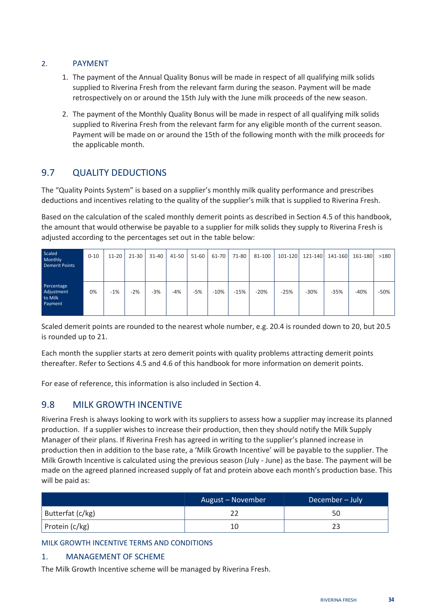#### <span id="page-39-0"></span>2. PAYMENT

- 1. The payment of the Annual Quality Bonus will be made in respect of all qualifying milk solids supplied to Riverina Fresh from the relevant farm during the season. Payment will be made retrospectively on or around the 15th July with the June milk proceeds of the new season.
- 2. The payment of the Monthly Quality Bonus will be made in respect of all qualifying milk solids supplied to Riverina Fresh from the relevant farm for any eligible month of the current season. Payment will be made on or around the 15th of the following month with the milk proceeds for the applicable month.

## <span id="page-39-1"></span>9.7 QUALITY DEDUCTIONS

The "Quality Points System" is based on a supplier's monthly milk quality performance and prescribes deductions and incentives relating to the quality of the supplier's milk that is supplied to Riverina Fresh.

Based on the calculation of the scaled monthly demerit points as described in Section 4.5 of this handbook, the amount that would otherwise be payable to a supplier for milk solids they supply to Riverina Fresh is adjusted according to the percentages set out in the table below:

| Scaled<br>Monthly<br><b>Demerit Points</b>     | $0 - 10$ | $11 - 20$ | $21 - 30$ | $31 - 40$ | $41 - 50$ | $51 - 60$ | 61-70  | 71-80  | 81-100 |        | 101-120 121-140 | 141-160 | 161-180 | >180   |
|------------------------------------------------|----------|-----------|-----------|-----------|-----------|-----------|--------|--------|--------|--------|-----------------|---------|---------|--------|
| Percentage<br>Adjustment<br>to Milk<br>Payment | 0%       | $-1%$     | $-2%$     | $-3%$     | -4%       | $-5%$     | $-10%$ | $-15%$ | $-20%$ | $-25%$ | $-30%$          | $-35%$  | $-40%$  | $-50%$ |

Scaled demerit points are rounded to the nearest whole number, e.g. 20.4 is rounded down to 20, but 20.5 is rounded up to 21.

Each month the supplier starts at zero demerit points with quality problems attracting demerit points thereafter. Refer to Sections 4.5 and 4.6 of this handbook for more information on demerit points.

For ease of reference, this information is also included in Section 4.

#### <span id="page-39-2"></span>9.8 MILK GROWTH INCENTIVE

Riverina Fresh is always looking to work with its suppliers to assess how a supplier may increase its planned production. If a supplier wishes to increase their production, then they should notify the Milk Supply Manager of their plans. If Riverina Fresh has agreed in writing to the supplier's planned increase in production then in addition to the base rate, a 'Milk Growth Incentive' will be payable to the supplier. The Milk Growth Incentive is calculated using the previous season (July - June) as the base. The payment will be made on the agreed planned increased supply of fat and protein above each month's production base. This will be paid as:

|                  | August - November | December – July <sup> </sup> |
|------------------|-------------------|------------------------------|
| Butterfat (c/kg) |                   | 50                           |
| Protein (c/kg)   |                   |                              |

#### MILK GROWTH INCENTIVE TERMS AND CONDITIONS

#### <span id="page-39-3"></span>1. MANAGEMENT OF SCHEME

The Milk Growth Incentive scheme will be managed by Riverina Fresh.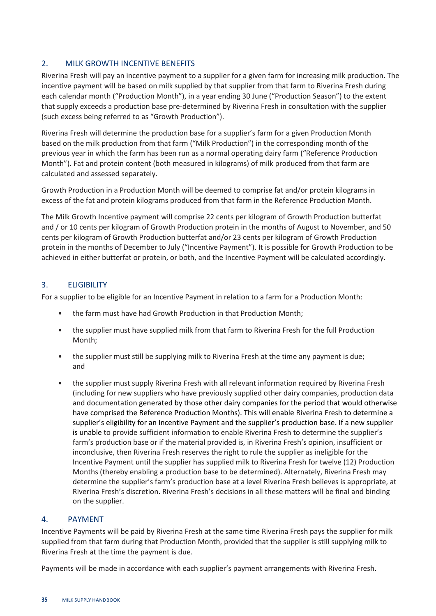#### <span id="page-40-0"></span>2. MILK GROWTH INCENTIVE BENEFITS

Riverina Fresh will pay an incentive payment to a supplier for a given farm for increasing milk production. The incentive payment will be based on milk supplied by that supplier from that farm to Riverina Fresh during each calendar month ("Production Month"), in a year ending 30 June ("Production Season") to the extent that supply exceeds a production base pre-determined by Riverina Fresh in consultation with the supplier (such excess being referred to as "Growth Production").

Riverina Fresh will determine the production base for a supplier's farm for a given Production Month based on the milk production from that farm ("Milk Production") in the corresponding month of the previous year in which the farm has been run as a normal operating dairy farm ("Reference Production Month"). Fat and protein content (both measured in kilograms) of milk produced from that farm are calculated and assessed separately.

Growth Production in a Production Month will be deemed to comprise fat and/or protein kilograms in excess of the fat and protein kilograms produced from that farm in the Reference Production Month.

The Milk Growth Incentive payment will comprise 22 cents per kilogram of Growth Production butterfat and / or 10 cents per kilogram of Growth Production protein in the months of August to November, and 50 cents per kilogram of Growth Production butterfat and/or 23 cents per kilogram of Growth Production protein in the months of December to July ("Incentive Payment"). It is possible for Growth Production to be achieved in either butterfat or protein, or both, and the Incentive Payment will be calculated accordingly.

#### <span id="page-40-1"></span>3. ELIGIBILITY

For a supplier to be eligible for an Incentive Payment in relation to a farm for a Production Month:

- the farm must have had Growth Production in that Production Month;
- the supplier must have supplied milk from that farm to Riverina Fresh for the full Production Month;
- the supplier must still be supplying milk to Riverina Fresh at the time any payment is due; and
- the supplier must supply Riverina Fresh with all relevant information required by Riverina Fresh (including for new suppliers who have previously supplied other dairy companies, production data and documentation generated by those other dairy companies for the period that would otherwise have comprised the Reference Production Months). This will enable Riverina Fresh to determine a supplier's eligibility for an Incentive Payment and the supplier's production base. If a new supplier is unable to provide sufficient information to enable Riverina Fresh to determine the supplier's farm's production base or if the material provided is, in Riverina Fresh's opinion, insufficient or inconclusive, then Riverina Fresh reserves the right to rule the supplier as ineligible for the Incentive Payment until the supplier has supplied milk to Riverina Fresh for twelve (12) Production Months (thereby enabling a production base to be determined). Alternately, Riverina Fresh may determine the supplier's farm's production base at a level Riverina Fresh believes is appropriate, at Riverina Fresh's discretion. Riverina Fresh's decisions in all these matters will be final and binding on the supplier.

#### <span id="page-40-2"></span>4. PAYMENT

Incentive Payments will be paid by Riverina Fresh at the same time Riverina Fresh pays the supplier for milk supplied from that farm during that Production Month, provided that the supplier is still supplying milk to Riverina Fresh at the time the payment is due.

Payments will be made in accordance with each supplier's payment arrangements with Riverina Fresh.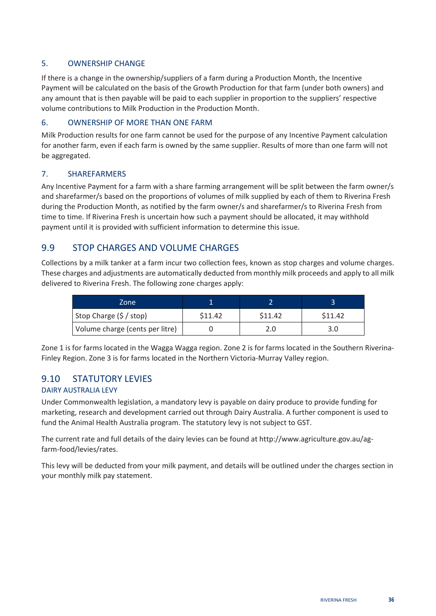#### <span id="page-41-0"></span>5. OWNERSHIP CHANGE

If there is a change in the ownership/suppliers of a farm during a Production Month, the Incentive Payment will be calculated on the basis of the Growth Production for that farm (under both owners) and any amount that is then payable will be paid to each supplier in proportion to the suppliers' respective volume contributions to Milk Production in the Production Month.

#### <span id="page-41-1"></span>6. OWNERSHIP OF MORE THAN ONE FARM

Milk Production results for one farm cannot be used for the purpose of any Incentive Payment calculation for another farm, even if each farm is owned by the same supplier. Results of more than one farm will not be aggregated.

#### <span id="page-41-2"></span>7. SHAREFARMERS

Any Incentive Payment for a farm with a share farming arrangement will be split between the farm owner/s and sharefarmer/s based on the proportions of volumes of milk supplied by each of them to Riverina Fresh during the Production Month, as notified by the farm owner/s and sharefarmer/s to Riverina Fresh from time to time. If Riverina Fresh is uncertain how such a payment should be allocated, it may withhold payment until it is provided with sufficient information to determine this issue.

#### <span id="page-41-3"></span>9.9 STOP CHARGES AND VOLUME CHARGES

Collections by a milk tanker at a farm incur two collection fees, known as stop charges and volume charges. These charges and adjustments are automatically deducted from monthly milk proceeds and apply to all milk delivered to Riverina Fresh. The following zone charges apply:

| Zone                            |         |         |         |
|---------------------------------|---------|---------|---------|
| Stop Charge (\$ / stop)         | \$11.42 | \$11.42 | \$11.42 |
| Volume charge (cents per litre) |         |         |         |

Zone 1 is for farms located in the Wagga Wagga region. Zone 2 is for farms located in the Southern Riverina-Finley Region. Zone 3 is for farms located in the Northern Victoria-Murray Valley region.

## <span id="page-41-4"></span>9.10 STATUTORY LEVIES

#### DAIRY AUSTRALIA LEVY

Under Commonwealth legislation, a mandatory levy is payable on dairy produce to provide funding for marketing, research and development carried out through Dairy Australia. A further component is used to fund the Animal Health Australia program. The statutory levy is not subject to GST.

The current rate and full details of the dairy levies can be found at http://www.agriculture.gov.au/agfarm-food/levies/rates.

This levy will be deducted from your milk payment, and details will be outlined under the charges section in your monthly milk pay statement.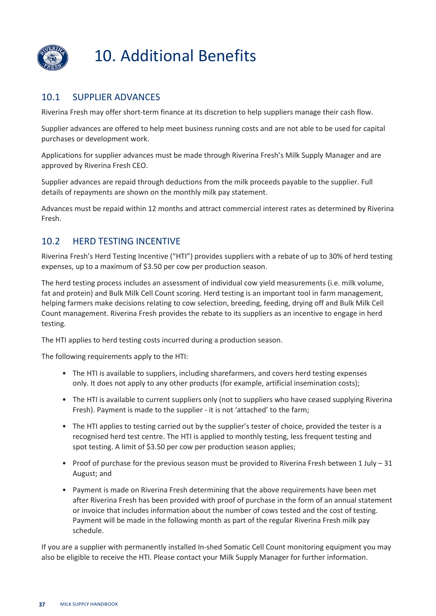

## <span id="page-42-0"></span>10. Additional Benefits

## <span id="page-42-1"></span>10.1 SUPPLIER ADVANCES

Riverina Fresh may offer short-term finance at its discretion to help suppliers manage their cash flow.

Supplier advances are offered to help meet business running costs and are not able to be used for capital purchases or development work.

Applications for supplier advances must be made through Riverina Fresh's Milk Supply Manager and are approved by Riverina Fresh CEO.

Supplier advances are repaid through deductions from the milk proceeds payable to the supplier. Full details of repayments are shown on the monthly milk pay statement.

Advances must be repaid within 12 months and attract commercial interest rates as determined by Riverina Fresh.

## <span id="page-42-2"></span>10.2 HERD TESTING INCENTIVE

Riverina Fresh's Herd Testing Incentive ("HTI") provides suppliers with a rebate of up to 30% of herd testing expenses, up to a maximum of \$3.50 per cow per production season.

The herd testing process includes an assessment of individual cow yield measurements (i.e. milk volume, fat and protein) and Bulk Milk Cell Count scoring. Herd testing is an important tool in farm management, helping farmers make decisions relating to cow selection, breeding, feeding, drying off and Bulk Milk Cell Count management. Riverina Fresh provides the rebate to its suppliers as an incentive to engage in herd testing.

The HTI applies to herd testing costs incurred during a production season.

The following requirements apply to the HTI:

- The HTI is available to suppliers, including sharefarmers, and covers herd testing expenses only. It does not apply to any other products (for example, artificial insemination costs);
- The HTI is available to current suppliers only (not to suppliers who have ceased supplying Riverina Fresh). Payment is made to the supplier - it is not 'attached' to the farm;
- The HTI applies to testing carried out by the supplier's tester of choice, provided the tester is a recognised herd test centre. The HTI is applied to monthly testing, less frequent testing and spot testing. A limit of \$3.50 per cow per production season applies;
- Proof of purchase for the previous season must be provided to Riverina Fresh between 1 July 31 August; and
- Payment is made on Riverina Fresh determining that the above requirements have been met after Riverina Fresh has been provided with proof of purchase in the form of an annual statement or invoice that includes information about the number of cows tested and the cost of testing. Payment will be made in the following month as part of the regular Riverina Fresh milk pay schedule.

If you are a supplier with permanently installed In-shed Somatic Cell Count monitoring equipment you may also be eligible to receive the HTI. Please contact your Milk Supply Manager for further information.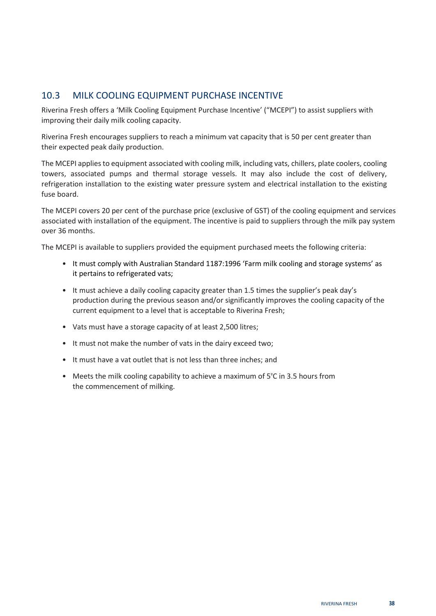#### <span id="page-43-0"></span>10.3 MILK COOLING EQUIPMENT PURCHASE INCENTIVE

Riverina Fresh offers a 'Milk Cooling Equipment Purchase Incentive' ("MCEPI") to assist suppliers with improving their daily milk cooling capacity.

Riverina Fresh encourages suppliers to reach a minimum vat capacity that is 50 per cent greater than their expected peak daily production.

The MCEPI applies to equipment associated with cooling milk, including vats, chillers, plate coolers, cooling towers, associated pumps and thermal storage vessels. It may also include the cost of delivery, refrigeration installation to the existing water pressure system and electrical installation to the existing fuse board.

The MCEPI covers 20 per cent of the purchase price (exclusive of GST) of the cooling equipment and services associated with installation of the equipment. The incentive is paid to suppliers through the milk pay system over 36 months.

The MCEPI is available to suppliers provided the equipment purchased meets the following criteria:

- It must comply with Australian Standard 1187:1996 'Farm milk cooling and storage systems' as it pertains to refrigerated vats;
- It must achieve a daily cooling capacity greater than 1.5 times the supplier's peak day's production during the previous season and/or significantly improves the cooling capacity of the current equipment to a level that is acceptable to Riverina Fresh;
- Vats must have a storage capacity of at least 2,500 litres;
- It must not make the number of vats in the dairy exceed two;
- It must have a vat outlet that is not less than three inches; and
- Meets the milk cooling capability to achieve a maximum of 5°C in 3.5 hours from the commencement of milking.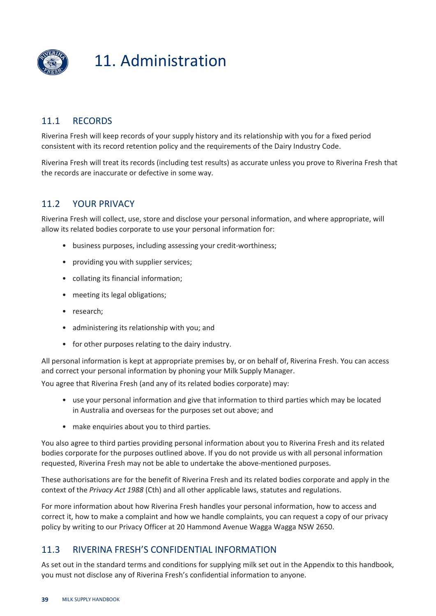

## <span id="page-44-0"></span>11. Administration

## <span id="page-44-1"></span>11.1 RECORDS

Riverina Fresh will keep records of your supply history and its relationship with you for a fixed period consistent with its record retention policy and the requirements of the Dairy Industry Code.

Riverina Fresh will treat its records (including test results) as accurate unless you prove to Riverina Fresh that the records are inaccurate or defective in some way.

#### <span id="page-44-2"></span>11.2 YOUR PRIVACY

Riverina Fresh will collect, use, store and disclose your personal information, and where appropriate, will allow its related bodies corporate to use your personal information for:

- business purposes, including assessing your credit-worthiness;
- providing you with supplier services;
- collating its financial information;
- meeting its legal obligations;
- research;
- administering its relationship with you; and
- for other purposes relating to the dairy industry.

All personal information is kept at appropriate premises by, or on behalf of, Riverina Fresh. You can access and correct your personal information by phoning your Milk Supply Manager.

You agree that Riverina Fresh (and any of its related bodies corporate) may:

- use your personal information and give that information to third parties which may be located in Australia and overseas for the purposes set out above; and
- make enquiries about you to third parties.

You also agree to third parties providing personal information about you to Riverina Fresh and its related bodies corporate for the purposes outlined above. If you do not provide us with all personal information requested, Riverina Fresh may not be able to undertake the above-mentioned purposes.

These authorisations are for the benefit of Riverina Fresh and its related bodies corporate and apply in the context of the *Privacy Act 1988* (Cth) and all other applicable laws, statutes and regulations.

For more information about how Riverina Fresh handles your personal information, how to access and correct it, how to make a complaint and how we handle complaints, you can request a copy of our privacy policy by writing to our Privacy Officer at 20 Hammond Avenue Wagga Wagga NSW 2650.

#### <span id="page-44-3"></span>11.3 RIVERINA FRESH'S CONFIDENTIAL INFORMATION

As set out in the standard terms and conditions for supplying milk set out in the Appendix to this handbook, you must not disclose any of Riverina Fresh's confidential information to anyone.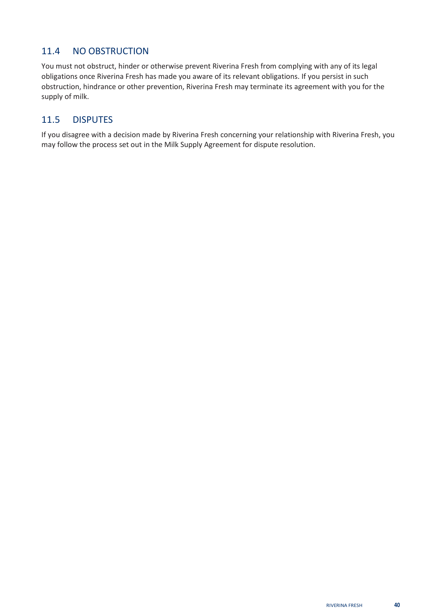## <span id="page-45-0"></span>11.4 NO OBSTRUCTION

You must not obstruct, hinder or otherwise prevent Riverina Fresh from complying with any of its legal obligations once Riverina Fresh has made you aware of its relevant obligations. If you persist in such obstruction, hindrance or other prevention, Riverina Fresh may terminate its agreement with you for the supply of milk.

## <span id="page-45-1"></span>11.5 DISPUTES

If you disagree with a decision made by Riverina Fresh concerning your relationship with Riverina Fresh, you may follow the process set out in the Milk Supply Agreement for dispute resolution.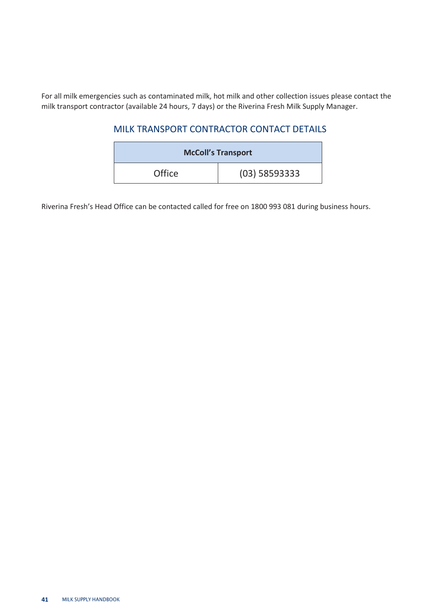<span id="page-46-0"></span>For all milk emergencies such as contaminated milk, hot milk and other collection issues please contact the milk transport contractor (available 24 hours, 7 days) or the Riverina Fresh Milk Supply Manager.

#### MILK TRANSPORT CONTRACTOR CONTACT DETAILS

| <b>McColl's Transport</b> |               |  |  |  |
|---------------------------|---------------|--|--|--|
| Office                    | (03) 58593333 |  |  |  |

Riverina Fresh's Head Office can be contacted called for free on 1800 993 081 during business hours.